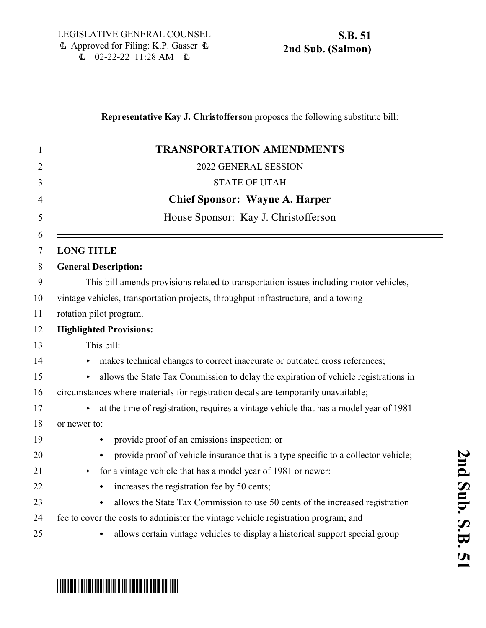### **Representative Kay J. Christofferson** proposes the following substitute bill:

| $\mathbf{1}$        | <b>TRANSPORTATION AMENDMENTS</b>                                                       |
|---------------------|----------------------------------------------------------------------------------------|
| $\overline{2}$      | 2022 GENERAL SESSION                                                                   |
| 3                   | <b>STATE OF UTAH</b>                                                                   |
| $\overline{4}$      | <b>Chief Sponsor: Wayne A. Harper</b>                                                  |
| 5                   | House Sponsor: Kay J. Christofferson                                                   |
| 6<br>$\overline{7}$ | <b>LONG TITLE</b>                                                                      |
| 8                   | <b>General Description:</b>                                                            |
| 9                   | This bill amends provisions related to transportation issues including motor vehicles, |
| 10                  | vintage vehicles, transportation projects, throughput infrastructure, and a towing     |
| 11                  | rotation pilot program.                                                                |
| 12                  | <b>Highlighted Provisions:</b>                                                         |
| 13                  | This bill:                                                                             |
| 14                  | makes technical changes to correct inaccurate or outdated cross references;<br>▶       |
| 15                  | allows the State Tax Commission to delay the expiration of vehicle registrations in    |
| 16                  | circumstances where materials for registration decals are temporarily unavailable;     |
| 17                  | at the time of registration, requires a vintage vehicle that has a model year of 1981  |
| 18                  | or newer to:                                                                           |
| 19                  | provide proof of an emissions inspection; or<br>$\bullet$                              |
| 20                  | provide proof of vehicle insurance that is a type specific to a collector vehicle;     |
| 21                  | for a vintage vehicle that has a model year of 1981 or newer:<br>Þ                     |
| 22                  | increases the registration fee by 50 cents;                                            |
| 23                  | allows the State Tax Commission to use 50 cents of the increased registration          |
| 24                  | fee to cover the costs to administer the vintage vehicle registration program; and     |
| 25                  | allows certain vintage vehicles to display a historical support special group          |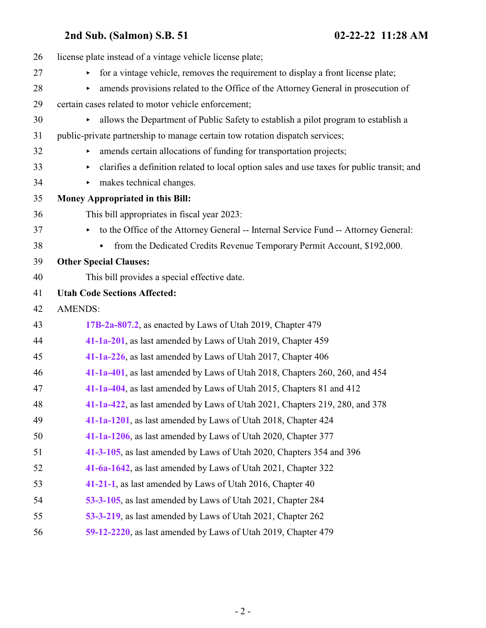| license plate instead of a vintage vehicle license plate;                                                 |
|-----------------------------------------------------------------------------------------------------------|
| for a vintage vehicle, removes the requirement to display a front license plate;<br>$\blacktriangleright$ |
| amends provisions related to the Office of the Attorney General in prosecution of                         |
| certain cases related to motor vehicle enforcement;                                                       |
| allows the Department of Public Safety to establish a pilot program to establish a<br>Þ.                  |
| public-private partnership to manage certain tow rotation dispatch services;                              |
| amends certain allocations of funding for transportation projects;                                        |
| clarifies a definition related to local option sales and use taxes for public transit; and<br>▶.          |
| makes technical changes.<br>▶.                                                                            |
| <b>Money Appropriated in this Bill:</b>                                                                   |
| This bill appropriates in fiscal year 2023:                                                               |
| to the Office of the Attorney General -- Internal Service Fund -- Attorney General:                       |
| from the Dedicated Credits Revenue Temporary Permit Account, \$192,000.                                   |
| <b>Other Special Clauses:</b>                                                                             |
| This bill provides a special effective date.                                                              |
| <b>Utah Code Sections Affected:</b>                                                                       |
| <b>AMENDS:</b>                                                                                            |
| 17B-2a-807.2, as enacted by Laws of Utah 2019, Chapter 479                                                |
| 41-1a-201, as last amended by Laws of Utah 2019, Chapter 459                                              |
| 41-1a-226, as last amended by Laws of Utah 2017, Chapter 406                                              |
| 41-1a-401, as last amended by Laws of Utah 2018, Chapters 260, 260, and 454                               |
| 41-1a-404, as last amended by Laws of Utah 2015, Chapters 81 and 412                                      |
| 41-1a-422, as last amended by Laws of Utah 2021, Chapters 219, 280, and 378                               |
| 41-1a-1201, as last amended by Laws of Utah 2018, Chapter 424                                             |
| 41-1a-1206, as last amended by Laws of Utah 2020, Chapter 377                                             |
| 41-3-105, as last amended by Laws of Utah 2020, Chapters 354 and 396                                      |
| 41-6a-1642, as last amended by Laws of Utah 2021, Chapter 322                                             |
| 41-21-1, as last amended by Laws of Utah 2016, Chapter 40                                                 |
| 53-3-105, as last amended by Laws of Utah 2021, Chapter 284                                               |
| 53-3-219, as last amended by Laws of Utah 2021, Chapter 262                                               |
| 59-12-2220, as last amended by Laws of Utah 2019, Chapter 479                                             |
|                                                                                                           |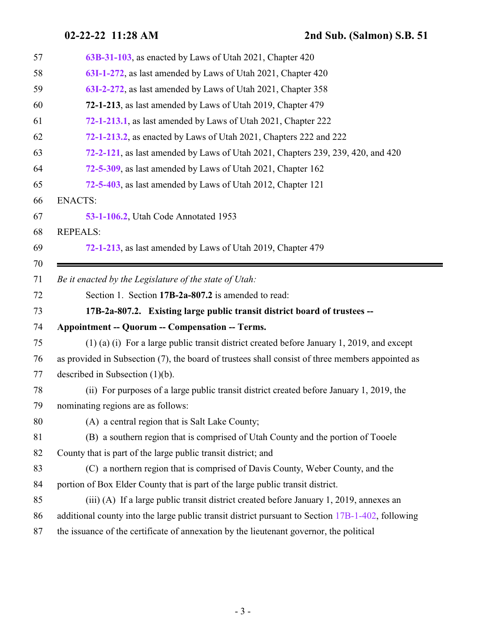<span id="page-2-0"></span>

| 57 | 63B-31-103, as enacted by Laws of Utah 2021, Chapter 420                                          |
|----|---------------------------------------------------------------------------------------------------|
| 58 | 63I-1-272, as last amended by Laws of Utah 2021, Chapter 420                                      |
| 59 | 63I-2-272, as last amended by Laws of Utah 2021, Chapter 358                                      |
| 60 | 72-1-213, as last amended by Laws of Utah 2019, Chapter 479                                       |
| 61 | 72-1-213.1, as last amended by Laws of Utah 2021, Chapter 222                                     |
| 62 | 72-1-213.2, as enacted by Laws of Utah 2021, Chapters 222 and 222                                 |
| 63 | 72-2-121, as last amended by Laws of Utah 2021, Chapters 239, 239, 420, and 420                   |
| 64 | 72-5-309, as last amended by Laws of Utah 2021, Chapter 162                                       |
| 65 | 72-5-403, as last amended by Laws of Utah 2012, Chapter 121                                       |
| 66 | <b>ENACTS:</b>                                                                                    |
| 67 | 53-1-106.2, Utah Code Annotated 1953                                                              |
| 68 | <b>REPEALS:</b>                                                                                   |
| 69 | 72-1-213, as last amended by Laws of Utah 2019, Chapter 479                                       |
| 70 |                                                                                                   |
| 71 | Be it enacted by the Legislature of the state of Utah:                                            |
|    | Section 1. Section 17B-2a-807.2 is amended to read:                                               |
| 72 |                                                                                                   |
| 73 | 17B-2a-807.2. Existing large public transit district board of trustees --                         |
| 74 | <b>Appointment -- Quorum -- Compensation -- Terms.</b>                                            |
| 75 | $(1)$ (a) (i) For a large public transit district created before January 1, 2019, and except      |
| 76 | as provided in Subsection (7), the board of trustees shall consist of three members appointed as  |
| 77 | described in Subsection $(1)(b)$ .                                                                |
| 78 | (ii) For purposes of a large public transit district created before January 1, 2019, the          |
| 79 | nominating regions are as follows:                                                                |
| 80 | (A) a central region that is Salt Lake County;                                                    |
| 81 | (B) a southern region that is comprised of Utah County and the portion of Tooele                  |
| 82 | County that is part of the large public transit district; and                                     |
| 83 | (C) a northern region that is comprised of Davis County, Weber County, and the                    |
| 84 | portion of Box Elder County that is part of the large public transit district.                    |
| 85 | (iii) (A) If a large public transit district created before January 1, 2019, annexes an           |
| 86 | additional county into the large public transit district pursuant to Section 17B-1-402, following |
| 87 | the issuance of the certificate of annexation by the lieutenant governor, the political           |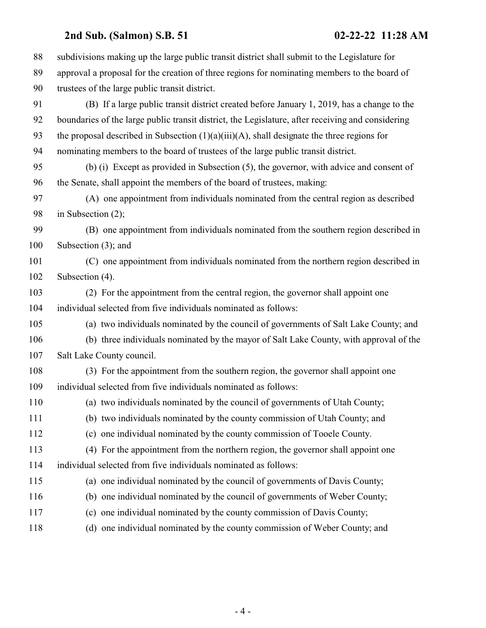| 88  | subdivisions making up the large public transit district shall submit to the Legislature for      |
|-----|---------------------------------------------------------------------------------------------------|
| 89  | approval a proposal for the creation of three regions for nominating members to the board of      |
| 90  | trustees of the large public transit district.                                                    |
| 91  | (B) If a large public transit district created before January 1, 2019, has a change to the        |
| 92  | boundaries of the large public transit district, the Legislature, after receiving and considering |
| 93  | the proposal described in Subsection $(1)(a)(iii)(A)$ , shall designate the three regions for     |
| 94  | nominating members to the board of trustees of the large public transit district.                 |
| 95  | (b) (i) Except as provided in Subsection (5), the governor, with advice and consent of            |
| 96  | the Senate, shall appoint the members of the board of trustees, making:                           |
| 97  | (A) one appointment from individuals nominated from the central region as described               |
| 98  | in Subsection $(2)$ ;                                                                             |
| 99  | (B) one appointment from individuals nominated from the southern region described in              |
| 100 | Subsection $(3)$ ; and                                                                            |
| 101 | (C) one appointment from individuals nominated from the northern region described in              |
| 102 | Subsection (4).                                                                                   |
| 103 | (2) For the appointment from the central region, the governor shall appoint one                   |
| 104 | individual selected from five individuals nominated as follows:                                   |
| 105 | (a) two individuals nominated by the council of governments of Salt Lake County; and              |
| 106 | (b) three individuals nominated by the mayor of Salt Lake County, with approval of the            |
| 107 | Salt Lake County council.                                                                         |
| 108 | (3) For the appointment from the southern region, the governor shall appoint one                  |
| 109 | individual selected from five individuals nominated as follows:                                   |
| 110 | (a) two individuals nominated by the council of governments of Utah County;                       |
| 111 | (b) two individuals nominated by the county commission of Utah County; and                        |
| 112 | (c) one individual nominated by the county commission of Tooele County.                           |
| 113 | (4) For the appointment from the northern region, the governor shall appoint one                  |
| 114 | individual selected from five individuals nominated as follows:                                   |
| 115 | (a) one individual nominated by the council of governments of Davis County;                       |
| 116 | (b) one individual nominated by the council of governments of Weber County;                       |
| 117 | (c) one individual nominated by the county commission of Davis County;                            |
| 118 | (d) one individual nominated by the county commission of Weber County; and                        |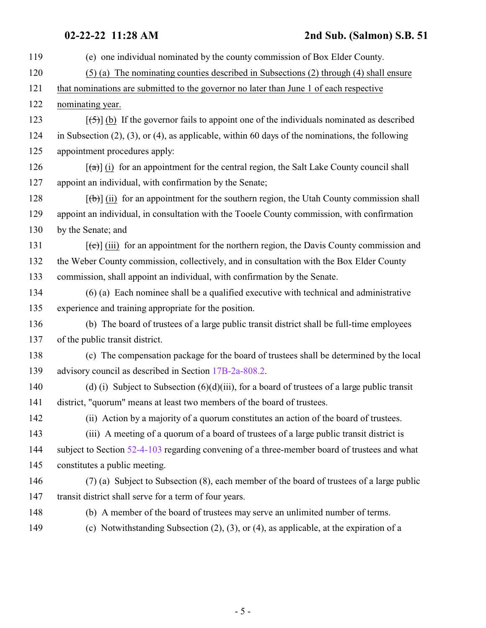| 119 | (e) one individual nominated by the county commission of Box Elder County.                                      |
|-----|-----------------------------------------------------------------------------------------------------------------|
| 120 | $(5)$ (a) The nominating counties described in Subsections (2) through (4) shall ensure                         |
| 121 | that nominations are submitted to the governor no later than June 1 of each respective                          |
| 122 | nominating year.                                                                                                |
| 123 | $[\frac{1}{2}, \frac{1}{2}]$ (b) If the governor fails to appoint one of the individuals nominated as described |
| 124 | in Subsection $(2)$ , $(3)$ , or $(4)$ , as applicable, within 60 days of the nominations, the following        |
| 125 | appointment procedures apply:                                                                                   |
| 126 | $\lceil$ (a) (i) for an appointment for the central region, the Salt Lake County council shall                  |
| 127 | appoint an individual, with confirmation by the Senate;                                                         |
| 128 | $[\phi]$ (ii) for an appointment for the southern region, the Utah County commission shall                      |
| 129 | appoint an individual, in consultation with the Tooele County commission, with confirmation                     |
| 130 | by the Senate; and                                                                                              |
| 131 | $[\text{e}(\text{e})]$ (iii) for an appointment for the northern region, the Davis County commission and        |
| 132 | the Weber County commission, collectively, and in consultation with the Box Elder County                        |
| 133 | commission, shall appoint an individual, with confirmation by the Senate.                                       |
| 134 | $(6)$ (a) Each nominee shall be a qualified executive with technical and administrative                         |
| 135 | experience and training appropriate for the position.                                                           |
| 136 | (b) The board of trustees of a large public transit district shall be full-time employees                       |
| 137 | of the public transit district.                                                                                 |
| 138 | (c) The compensation package for the board of trustees shall be determined by the local                         |
| 139 | advisory council as described in Section 17B-2a-808.2.                                                          |
| 140 | (d) (i) Subject to Subsection $(6)(d)(iii)$ , for a board of trustees of a large public transit                 |
| 141 | district, "quorum" means at least two members of the board of trustees.                                         |
| 142 | (ii) Action by a majority of a quorum constitutes an action of the board of trustees.                           |
| 143 | (iii) A meeting of a quorum of a board of trustees of a large public transit district is                        |
| 144 | subject to Section 52-4-103 regarding convening of a three-member board of trustees and what                    |
| 145 | constitutes a public meeting.                                                                                   |
| 146 | (7) (a) Subject to Subsection (8), each member of the board of trustees of a large public                       |
| 147 | transit district shall serve for a term of four years.                                                          |
| 148 | (b) A member of the board of trustees may serve an unlimited number of terms.                                   |
| 149 | (c) Notwithstanding Subsection $(2)$ , $(3)$ , or $(4)$ , as applicable, at the expiration of a                 |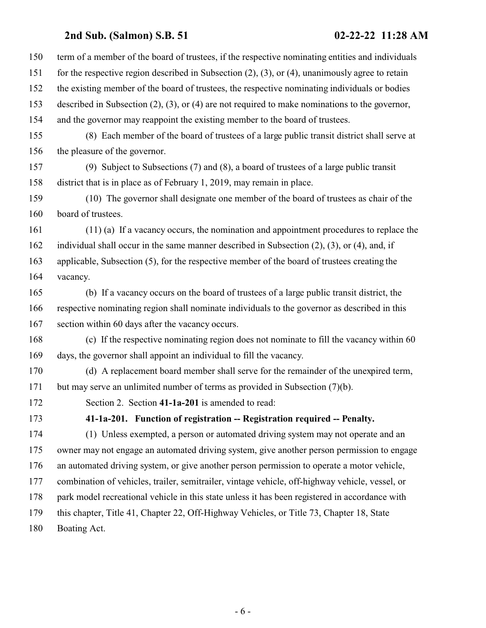<span id="page-5-0"></span>

| 150 | term of a member of the board of trustees, if the respective nominating entities and individuals         |
|-----|----------------------------------------------------------------------------------------------------------|
| 151 | for the respective region described in Subsection $(2)$ , $(3)$ , or $(4)$ , unanimously agree to retain |
| 152 | the existing member of the board of trustees, the respective nominating individuals or bodies            |
| 153 | described in Subsection $(2)$ , $(3)$ , or $(4)$ are not required to make nominations to the governor,   |
| 154 | and the governor may reappoint the existing member to the board of trustees.                             |
| 155 | (8) Each member of the board of trustees of a large public transit district shall serve at               |
| 156 | the pleasure of the governor.                                                                            |
| 157 | (9) Subject to Subsections $(7)$ and $(8)$ , a board of trustees of a large public transit               |
| 158 | district that is in place as of February 1, 2019, may remain in place.                                   |
| 159 | (10) The governor shall designate one member of the board of trustees as chair of the                    |
| 160 | board of trustees.                                                                                       |
| 161 | $(11)$ (a) If a vacancy occurs, the nomination and appointment procedures to replace the                 |
| 162 | individual shall occur in the same manner described in Subsection $(2)$ , $(3)$ , or $(4)$ , and, if     |
| 163 | applicable, Subsection (5), for the respective member of the board of trustees creating the              |
| 164 | vacancy.                                                                                                 |
| 165 | (b) If a vacancy occurs on the board of trustees of a large public transit district, the                 |
| 166 | respective nominating region shall nominate individuals to the governor as described in this             |
| 167 | section within 60 days after the vacancy occurs.                                                         |
| 168 | (c) If the respective nominating region does not nominate to fill the vacancy within 60                  |
| 169 | days, the governor shall appoint an individual to fill the vacancy.                                      |
| 170 | (d) A replacement board member shall serve for the remainder of the unexpired term,                      |
| 171 | but may serve an unlimited number of terms as provided in Subsection (7)(b).                             |
| 172 | Section 2. Section 41-1a-201 is amended to read:                                                         |
| 173 | 41-1a-201. Function of registration -- Registration required -- Penalty.                                 |
| 174 | (1) Unless exempted, a person or automated driving system may not operate and an                         |
| 175 | owner may not engage an automated driving system, give another person permission to engage               |
| 176 | an automated driving system, or give another person permission to operate a motor vehicle,               |
| 177 | combination of vehicles, trailer, semitrailer, vintage vehicle, off-highway vehicle, vessel, or          |
| 178 | park model recreational vehicle in this state unless it has been registered in accordance with           |
| 179 | this chapter, Title 41, Chapter 22, Off-Highway Vehicles, or Title 73, Chapter 18, State                 |
| 180 | Boating Act.                                                                                             |
|     |                                                                                                          |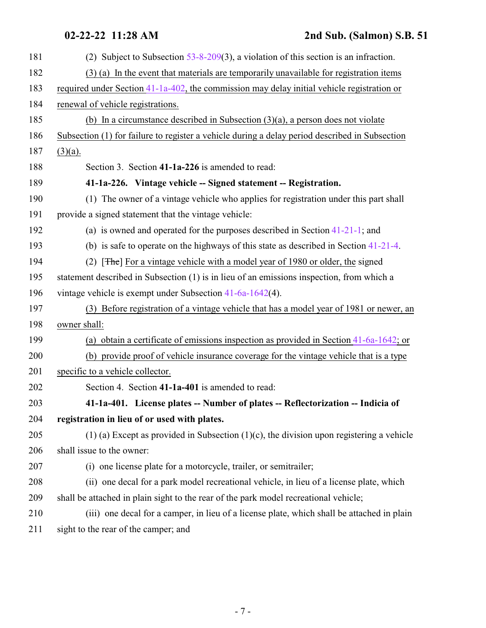<span id="page-6-1"></span><span id="page-6-0"></span>

| 181 | (2) Subject to Subsection $53-8-209(3)$ , a violation of this section is an infraction.        |
|-----|------------------------------------------------------------------------------------------------|
| 182 | (3) (a) In the event that materials are temporarily unavailable for registration items         |
| 183 | required under Section 41-1a-402, the commission may delay initial vehicle registration or     |
| 184 | renewal of vehicle registrations.                                                              |
| 185 | (b) In a circumstance described in Subsection $(3)(a)$ , a person does not violate             |
| 186 | Subsection (1) for failure to register a vehicle during a delay period described in Subsection |
| 187 | $(3)(a)$ .                                                                                     |
| 188 | Section 3. Section 41-1a-226 is amended to read:                                               |
| 189 | 41-1a-226. Vintage vehicle -- Signed statement -- Registration.                                |
| 190 | (1) The owner of a vintage vehicle who applies for registration under this part shall          |
| 191 | provide a signed statement that the vintage vehicle:                                           |
| 192 | (a) is owned and operated for the purposes described in Section $41-21-1$ ; and                |
| 193 | (b) is safe to operate on the highways of this state as described in Section $41-21-4$ .       |
| 194 | (2) $[THE]$ For a vintage vehicle with a model year of 1980 or older, the signed               |
| 195 | statement described in Subsection (1) is in lieu of an emissions inspection, from which a      |
| 196 | vintage vehicle is exempt under Subsection $41-6a-1642(4)$ .                                   |
| 197 | (3) Before registration of a vintage vehicle that has a model year of 1981 or newer, an        |
| 198 | owner shall:                                                                                   |
| 199 | (a) obtain a certificate of emissions inspection as provided in Section $41-6a-1642$ ; or      |
| 200 | (b) provide proof of vehicle insurance coverage for the vintage vehicle that is a type         |
| 201 | specific to a vehicle collector.                                                               |
| 202 | Section 4. Section 41-1a-401 is amended to read:                                               |
| 203 | 41-1a-401. License plates -- Number of plates -- Reflectorization -- Indicia of                |
| 204 | registration in lieu of or used with plates.                                                   |
| 205 | $(1)$ (a) Except as provided in Subsection $(1)(c)$ , the division upon registering a vehicle  |
| 206 | shall issue to the owner:                                                                      |
| 207 | (i) one license plate for a motorcycle, trailer, or semitrailer;                               |
| 208 | (ii) one decal for a park model recreational vehicle, in lieu of a license plate, which        |
| 209 | shall be attached in plain sight to the rear of the park model recreational vehicle;           |
| 210 | (iii) one decal for a camper, in lieu of a license plate, which shall be attached in plain     |
| 211 | sight to the rear of the camper; and                                                           |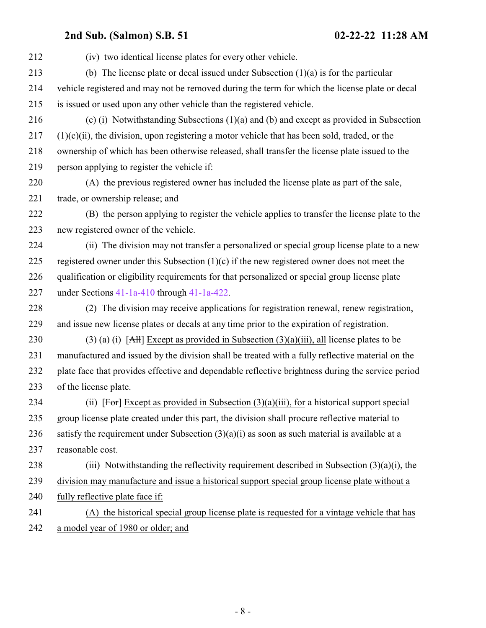| 212 | (iv) two identical license plates for every other vehicle.                                                        |
|-----|-------------------------------------------------------------------------------------------------------------------|
| 213 | (b) The license plate or decal issued under Subsection $(1)(a)$ is for the particular                             |
| 214 | vehicle registered and may not be removed during the term for which the license plate or decal                    |
| 215 | is issued or used upon any other vehicle than the registered vehicle.                                             |
| 216 | (c) (i) Notwithstanding Subsections $(1)(a)$ and $(b)$ and except as provided in Subsection                       |
| 217 | $(1)(c)(ii)$ , the division, upon registering a motor vehicle that has been sold, traded, or the                  |
| 218 | ownership of which has been otherwise released, shall transfer the license plate issued to the                    |
| 219 | person applying to register the vehicle if:                                                                       |
| 220 | (A) the previous registered owner has included the license plate as part of the sale,                             |
| 221 | trade, or ownership release; and                                                                                  |
| 222 | (B) the person applying to register the vehicle applies to transfer the license plate to the                      |
| 223 | new registered owner of the vehicle.                                                                              |
| 224 | (ii) The division may not transfer a personalized or special group license plate to a new                         |
| 225 | registered owner under this Subsection $(1)(c)$ if the new registered owner does not meet the                     |
| 226 | qualification or eligibility requirements for that personalized or special group license plate                    |
| 227 | under Sections $41-1a-410$ through $41-1a-422$ .                                                                  |
| 228 | (2) The division may receive applications for registration renewal, renew registration,                           |
| 229 | and issue new license plates or decals at any time prior to the expiration of registration.                       |
| 230 | (3) (a) (i) $\left[ \frac{A H}{B} \right]$ Except as provided in Subsection (3)(a)(iii), all license plates to be |
| 231 | manufactured and issued by the division shall be treated with a fully reflective material on the                  |
| 232 | plate face that provides effective and dependable reflective brightness during the service period                 |
| 233 | of the license plate.                                                                                             |
| 234 | (ii) [For] Except as provided in Subsection $(3)(a)(iii)$ , for a historical support special                      |
| 235 | group license plate created under this part, the division shall procure reflective material to                    |
| 236 | satisfy the requirement under Subsection $(3)(a)(i)$ as soon as such material is available at a                   |
| 237 | reasonable cost.                                                                                                  |
| 238 | (iii) Notwithstanding the reflectivity requirement described in Subsection $(3)(a)(i)$ , the                      |
| 239 | division may manufacture and issue a historical support special group license plate without a                     |
| 240 | fully reflective plate face if:                                                                                   |
| 241 | (A) the historical special group license plate is requested for a vintage vehicle that has                        |
| 242 | a model year of 1980 or older; and                                                                                |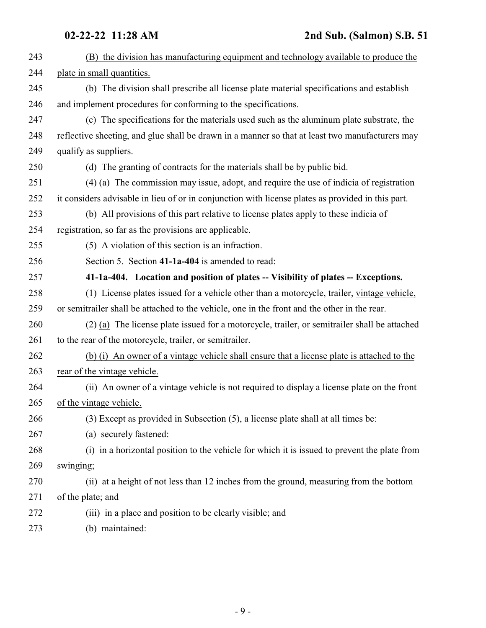<span id="page-8-0"></span>

| 243 | (B) the division has manufacturing equipment and technology available to produce the              |
|-----|---------------------------------------------------------------------------------------------------|
| 244 | plate in small quantities.                                                                        |
| 245 | (b) The division shall prescribe all license plate material specifications and establish          |
| 246 | and implement procedures for conforming to the specifications.                                    |
| 247 | (c) The specifications for the materials used such as the aluminum plate substrate, the           |
| 248 | reflective sheeting, and glue shall be drawn in a manner so that at least two manufacturers may   |
| 249 | qualify as suppliers.                                                                             |
| 250 | (d) The granting of contracts for the materials shall be by public bid.                           |
| 251 | (4) (a) The commission may issue, adopt, and require the use of indicia of registration           |
| 252 | it considers advisable in lieu of or in conjunction with license plates as provided in this part. |
| 253 | (b) All provisions of this part relative to license plates apply to these indicia of              |
| 254 | registration, so far as the provisions are applicable.                                            |
| 255 | (5) A violation of this section is an infraction.                                                 |
| 256 | Section 5. Section 41-1a-404 is amended to read:                                                  |
| 257 | 41-1a-404. Location and position of plates -- Visibility of plates -- Exceptions.                 |
| 258 | (1) License plates issued for a vehicle other than a motorcycle, trailer, vintage vehicle,        |
| 259 | or semitrailer shall be attached to the vehicle, one in the front and the other in the rear.      |
| 260 | (2) (a) The license plate issued for a motorcycle, trailer, or semitrailer shall be attached      |
| 261 | to the rear of the motorcycle, trailer, or semitrailer.                                           |
| 262 | (b) (i) An owner of a vintage vehicle shall ensure that a license plate is attached to the        |
| 263 | rear of the vintage vehicle.                                                                      |
| 264 | (ii) An owner of a vintage vehicle is not required to display a license plate on the front        |
| 265 | of the vintage vehicle.                                                                           |
| 266 | (3) Except as provided in Subsection (5), a license plate shall at all times be:                  |
| 267 | (a) securely fastened:                                                                            |
| 268 | (i) in a horizontal position to the vehicle for which it is issued to prevent the plate from      |
| 269 | swinging;                                                                                         |
| 270 | (ii) at a height of not less than 12 inches from the ground, measuring from the bottom            |
| 271 | of the plate; and                                                                                 |
| 272 | (iii) in a place and position to be clearly visible; and                                          |
| 273 | (b) maintained:                                                                                   |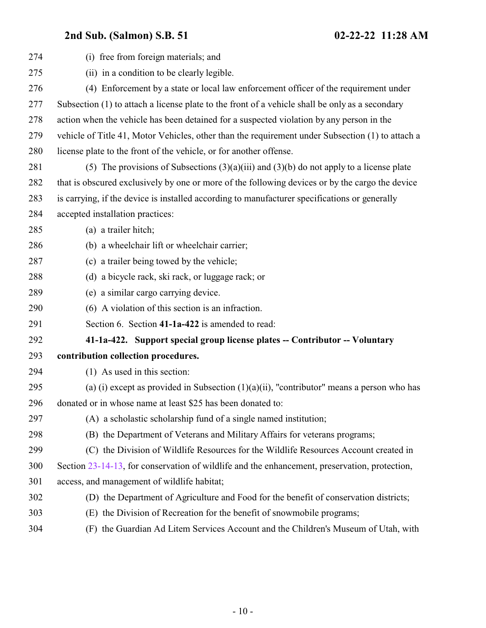<span id="page-9-0"></span>

| 274 | (i) free from foreign materials; and                                                             |
|-----|--------------------------------------------------------------------------------------------------|
| 275 | (ii) in a condition to be clearly legible.                                                       |
| 276 | (4) Enforcement by a state or local law enforcement officer of the requirement under             |
| 277 | Subsection (1) to attach a license plate to the front of a vehicle shall be only as a secondary  |
| 278 | action when the vehicle has been detained for a suspected violation by any person in the         |
| 279 | vehicle of Title 41, Motor Vehicles, other than the requirement under Subsection (1) to attach a |
| 280 | license plate to the front of the vehicle, or for another offense.                               |
| 281 | (5) The provisions of Subsections $(3)(a)(iii)$ and $(3)(b)$ do not apply to a license plate     |
| 282 | that is obscured exclusively by one or more of the following devices or by the cargo the device  |
| 283 | is carrying, if the device is installed according to manufacturer specifications or generally    |
| 284 | accepted installation practices:                                                                 |
| 285 | (a) a trailer hitch;                                                                             |
| 286 | (b) a wheelchair lift or wheelchair carrier;                                                     |
| 287 | (c) a trailer being towed by the vehicle;                                                        |
| 288 | (d) a bicycle rack, ski rack, or luggage rack; or                                                |
| 289 | (e) a similar cargo carrying device.                                                             |
| 290 | (6) A violation of this section is an infraction.                                                |
| 291 | Section 6. Section 41-1a-422 is amended to read:                                                 |
| 292 | 41-1a-422. Support special group license plates -- Contributor -- Voluntary                      |
| 293 | contribution collection procedures.                                                              |
| 294 | (1) As used in this section:                                                                     |
| 295 | (a) (i) except as provided in Subsection $(1)(a)(ii)$ , "contributor" means a person who has     |
| 296 | donated or in whose name at least \$25 has been donated to:                                      |
| 297 | (A) a scholastic scholarship fund of a single named institution;                                 |
| 298 | (B) the Department of Veterans and Military Affairs for veterans programs;                       |
| 299 | (C) the Division of Wildlife Resources for the Wildlife Resources Account created in             |
| 300 | Section 23-14-13, for conservation of wildlife and the enhancement, preservation, protection,    |
| 301 | access, and management of wildlife habitat;                                                      |
| 302 | (D) the Department of Agriculture and Food for the benefit of conservation districts;            |
| 303 | (E) the Division of Recreation for the benefit of snowmobile programs;                           |
| 304 | (F) the Guardian Ad Litem Services Account and the Children's Museum of Utah, with               |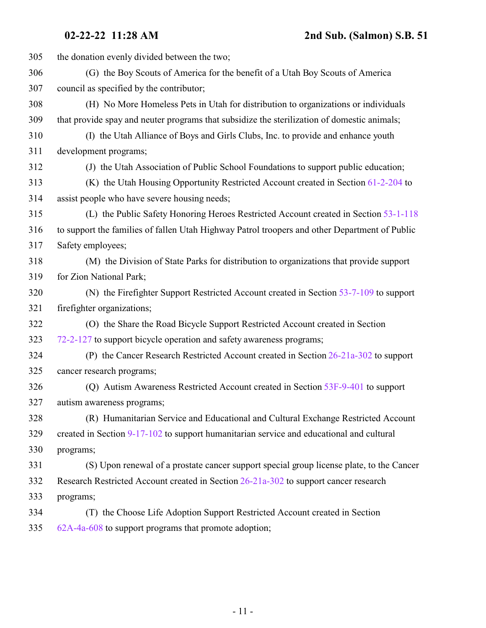the donation evenly divided between the two; (G) the Boy Scouts of America for the benefit of a Utah Boy Scouts of America council as specified by the contributor; (H) No More Homeless Pets in Utah for distribution to organizations or individuals that provide spay and neuter programs that subsidize the sterilization of domestic animals; (I) the Utah Alliance of Boys and Girls Clubs, Inc. to provide and enhance youth development programs; (J) the Utah Association of Public School Foundations to support public education; (K) the Utah Housing Opportunity Restricted Account created in Section [61-2-204](http://le.utah.gov/UtahCode/SectionLookup.jsp?section=61-2-204&session=2022GS) to assist people who have severe housing needs; (L) the Public Safety Honoring Heroes Restricted Account created in Section [53-1-118](http://le.utah.gov/UtahCode/SectionLookup.jsp?section=53-1-118&session=2022GS) to support the families of fallen Utah Highway Patrol troopers and other Department of Public Safety employees; (M) the Division of State Parks for distribution to organizations that provide support for Zion National Park; (N) the Firefighter Support Restricted Account created in Section [53-7-109](http://le.utah.gov/UtahCode/SectionLookup.jsp?section=53-7-109&session=2022GS) to support firefighter organizations; (O) the Share the Road Bicycle Support Restricted Account created in Section [72-2-127](http://le.utah.gov/UtahCode/SectionLookup.jsp?section=72-2-127&session=2022GS) to support bicycle operation and safety awareness programs; (P) the Cancer Research Restricted Account created in Section [26-21a-302](http://le.utah.gov/UtahCode/SectionLookup.jsp?section=26-21a-302&session=2022GS) to support cancer research programs; (Q) Autism Awareness Restricted Account created in Section [53F-9-401](http://le.utah.gov/UtahCode/SectionLookup.jsp?section=53f-9-401&session=2022GS) to support autism awareness programs; (R) Humanitarian Service and Educational and Cultural Exchange Restricted Account created in Section [9-17-102](http://le.utah.gov/UtahCode/SectionLookup.jsp?section=9-17-102&session=2022GS) to support humanitarian service and educational and cultural programs; (S) Upon renewal of a prostate cancer support special group license plate, to the Cancer Research Restricted Account created in Section [26-21a-302](http://le.utah.gov/UtahCode/SectionLookup.jsp?section=26-21a-302&session=2022GS) to support cancer research programs; (T) the Choose Life Adoption Support Restricted Account created in Section [62A-4a-608](http://le.utah.gov/UtahCode/SectionLookup.jsp?section=62a-4a-608&session=2022GS) to support programs that promote adoption;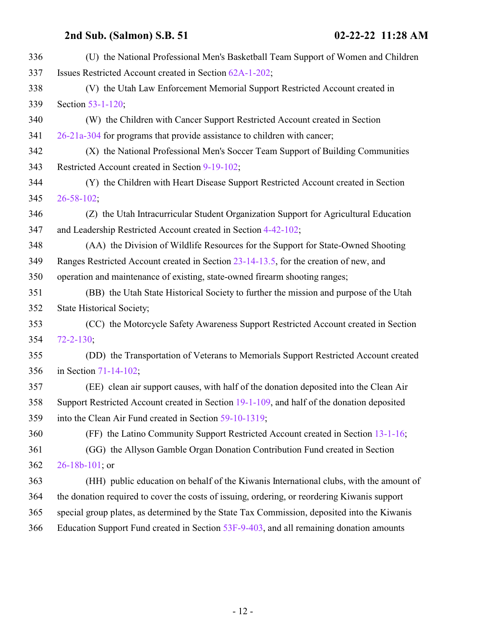| 336 | (U) the National Professional Men's Basketball Team Support of Women and Children            |
|-----|----------------------------------------------------------------------------------------------|
| 337 | Issues Restricted Account created in Section 62A-1-202;                                      |
| 338 | (V) the Utah Law Enforcement Memorial Support Restricted Account created in                  |
| 339 | Section 53-1-120;                                                                            |
| 340 | (W) the Children with Cancer Support Restricted Account created in Section                   |
| 341 | $26-21a-304$ for programs that provide assistance to children with cancer;                   |
| 342 | (X) the National Professional Men's Soccer Team Support of Building Communities              |
| 343 | Restricted Account created in Section 9-19-102;                                              |
| 344 | (Y) the Children with Heart Disease Support Restricted Account created in Section            |
| 345 | $26 - 58 - 102$ ;                                                                            |
| 346 | (Z) the Utah Intracurricular Student Organization Support for Agricultural Education         |
| 347 | and Leadership Restricted Account created in Section 4-42-102;                               |
| 348 | (AA) the Division of Wildlife Resources for the Support for State-Owned Shooting             |
| 349 | Ranges Restricted Account created in Section 23-14-13.5, for the creation of new, and        |
| 350 | operation and maintenance of existing, state-owned firearm shooting ranges;                  |
| 351 | (BB) the Utah State Historical Society to further the mission and purpose of the Utah        |
| 352 | <b>State Historical Society;</b>                                                             |
| 353 | (CC) the Motorcycle Safety Awareness Support Restricted Account created in Section           |
| 354 | $72 - 2 - 130$ ;                                                                             |
| 355 | (DD) the Transportation of Veterans to Memorials Support Restricted Account created          |
| 356 | in Section 71-14-102;                                                                        |
| 357 | (EE) clean air support causes, with half of the donation deposited into the Clean Air        |
| 358 | Support Restricted Account created in Section 19-1-109, and half of the donation deposited   |
| 359 | into the Clean Air Fund created in Section 59-10-1319;                                       |
| 360 | (FF) the Latino Community Support Restricted Account created in Section 13-1-16;             |
| 361 | (GG) the Allyson Gamble Organ Donation Contribution Fund created in Section                  |
| 362 | $26 - 18b - 101$ ; or                                                                        |
| 363 | (HH) public education on behalf of the Kiwanis International clubs, with the amount of       |
| 364 | the donation required to cover the costs of issuing, ordering, or reordering Kiwanis support |
| 365 | special group plates, as determined by the State Tax Commission, deposited into the Kiwanis  |
| 366 | Education Support Fund created in Section 53F-9-403, and all remaining donation amounts      |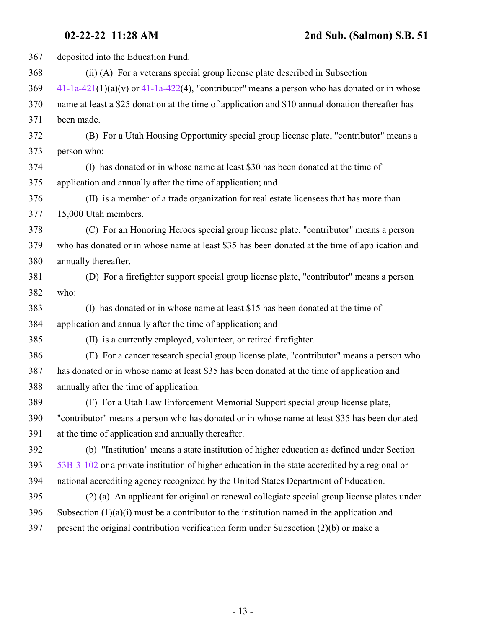| 367 | deposited into the Education Fund.                                                                |
|-----|---------------------------------------------------------------------------------------------------|
| 368 | (ii) (A) For a veterans special group license plate described in Subsection                       |
| 369 | $41-1a-421(1)(a)(v)$ or $41-1a-422(4)$ , "contributor" means a person who has donated or in whose |
| 370 | name at least a \$25 donation at the time of application and \$10 annual donation thereafter has  |
| 371 | been made.                                                                                        |
| 372 | (B) For a Utah Housing Opportunity special group license plate, "contributor" means a             |
| 373 | person who:                                                                                       |
| 374 | (I) has donated or in whose name at least \$30 has been donated at the time of                    |
| 375 | application and annually after the time of application; and                                       |
| 376 | (II) is a member of a trade organization for real estate licensees that has more than             |
| 377 | 15,000 Utah members.                                                                              |
| 378 | (C) For an Honoring Heroes special group license plate, "contributor" means a person              |
| 379 | who has donated or in whose name at least \$35 has been donated at the time of application and    |
| 380 | annually thereafter.                                                                              |
| 381 | (D) For a firefighter support special group license plate, "contributor" means a person           |
| 382 | who:                                                                                              |
| 383 | (I) has donated or in whose name at least \$15 has been donated at the time of                    |
| 384 | application and annually after the time of application; and                                       |
| 385 | (II) is a currently employed, volunteer, or retired firefighter.                                  |
| 386 | (E) For a cancer research special group license plate, "contributor" means a person who           |
| 387 | has donated or in whose name at least \$35 has been donated at the time of application and        |
| 388 | annually after the time of application.                                                           |
| 389 | (F) For a Utah Law Enforcement Memorial Support special group license plate,                      |
| 390 | "contributor" means a person who has donated or in whose name at least \$35 has been donated      |
| 391 | at the time of application and annually thereafter.                                               |
| 392 | (b) "Institution" means a state institution of higher education as defined under Section          |
| 393 | 53B-3-102 or a private institution of higher education in the state accredited by a regional or   |
| 394 | national accrediting agency recognized by the United States Department of Education.              |
| 395 | (2) (a) An applicant for original or renewal collegiate special group license plates under        |
| 396 | Subsection $(1)(a)(i)$ must be a contributor to the institution named in the application and      |
| 397 | present the original contribution verification form under Subsection $(2)(b)$ or make a           |
|     |                                                                                                   |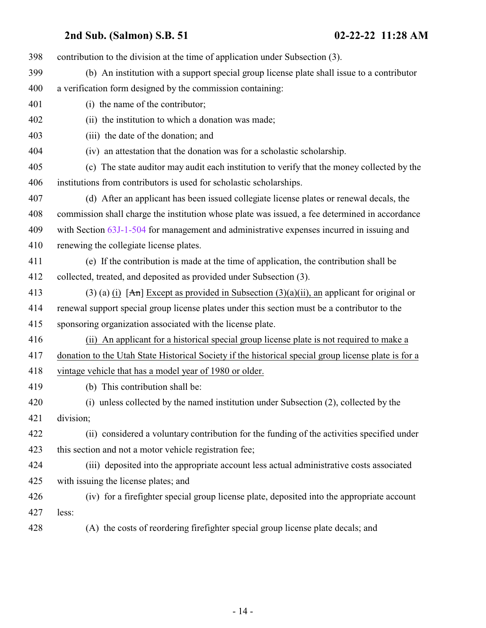| 398 | contribution to the division at the time of application under Subsection (3).                        |
|-----|------------------------------------------------------------------------------------------------------|
| 399 | (b) An institution with a support special group license plate shall issue to a contributor           |
| 400 | a verification form designed by the commission containing:                                           |
| 401 | (i) the name of the contributor;                                                                     |
| 402 | (ii) the institution to which a donation was made;                                                   |
| 403 | (iii) the date of the donation; and                                                                  |
| 404 | (iv) an attestation that the donation was for a scholastic scholarship.                              |
| 405 | (c) The state auditor may audit each institution to verify that the money collected by the           |
| 406 | institutions from contributors is used for scholastic scholarships.                                  |
| 407 | (d) After an applicant has been issued collegiate license plates or renewal decals, the              |
| 408 | commission shall charge the institution whose plate was issued, a fee determined in accordance       |
| 409 | with Section 63J-1-504 for management and administrative expenses incurred in issuing and            |
| 410 | renewing the collegiate license plates.                                                              |
| 411 | (e) If the contribution is made at the time of application, the contribution shall be                |
| 412 | collected, treated, and deposited as provided under Subsection (3).                                  |
| 413 | (3) (a) (i) [An] Except as provided in Subsection (3)(a)(ii), an applicant for original or           |
| 414 | renewal support special group license plates under this section must be a contributor to the         |
| 415 | sponsoring organization associated with the license plate.                                           |
| 416 | (ii) An applicant for a historical special group license plate is not required to make a             |
| 417 | donation to the Utah State Historical Society if the historical special group license plate is for a |
| 418 | vintage vehicle that has a model year of 1980 or older.                                              |
| 419 | (b) This contribution shall be:                                                                      |
| 420 | (i) unless collected by the named institution under Subsection (2), collected by the                 |
| 421 | division;                                                                                            |
| 422 | (ii) considered a voluntary contribution for the funding of the activities specified under           |
| 423 | this section and not a motor vehicle registration fee;                                               |
| 424 | (iii) deposited into the appropriate account less actual administrative costs associated             |
| 425 | with issuing the license plates; and                                                                 |
| 426 | (iv) for a firefighter special group license plate, deposited into the appropriate account           |
| 427 | less:                                                                                                |
| 428 | (A) the costs of reordering firefighter special group license plate decals; and                      |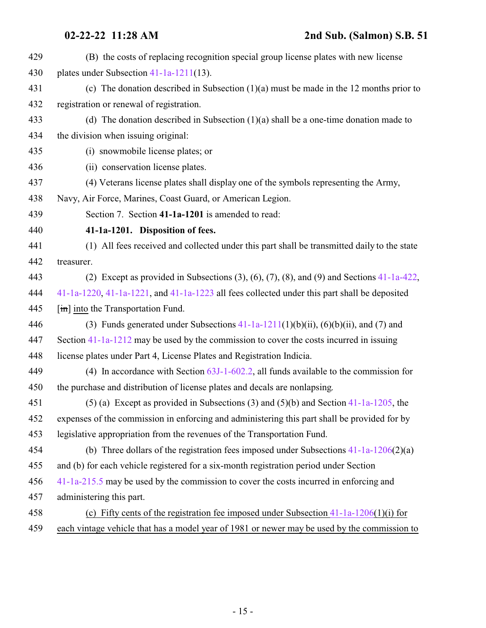<span id="page-14-0"></span>

| 429 | (B) the costs of replacing recognition special group license plates with new license                    |
|-----|---------------------------------------------------------------------------------------------------------|
| 430 | plates under Subsection $41-1a-1211(13)$ .                                                              |
| 431 | (c) The donation described in Subsection $(1)(a)$ must be made in the 12 months prior to                |
| 432 | registration or renewal of registration.                                                                |
| 433 | (d) The donation described in Subsection $(1)(a)$ shall be a one-time donation made to                  |
| 434 | the division when issuing original:                                                                     |
| 435 | (i) snowmobile license plates; or                                                                       |
| 436 | (ii) conservation license plates.                                                                       |
| 437 | (4) Veterans license plates shall display one of the symbols representing the Army,                     |
| 438 | Navy, Air Force, Marines, Coast Guard, or American Legion.                                              |
| 439 | Section 7. Section 41-1a-1201 is amended to read:                                                       |
| 440 | 41-1a-1201. Disposition of fees.                                                                        |
| 441 | (1) All fees received and collected under this part shall be transmitted daily to the state             |
| 442 | treasurer.                                                                                              |
| 443 | (2) Except as provided in Subsections $(3)$ , $(6)$ , $(7)$ , $(8)$ , and $(9)$ and Sections 41-1a-422, |
| 444 | $41-1a-1220$ , $41-1a-1221$ , and $41-1a-1223$ all fees collected under this part shall be deposited    |
| 445 | $\left[\frac{\text{im}}{\text{im}}\right]$ into the Transportation Fund.                                |
| 446 | (3) Funds generated under Subsections $41-1a-1211(1)(b)(ii)$ , $(6)(b)(ii)$ , and (7) and               |
| 447 | Section 41-1a-1212 may be used by the commission to cover the costs incurred in issuing                 |
| 448 | license plates under Part 4, License Plates and Registration Indicia.                                   |
| 449 | (4) In accordance with Section $63J-1-602.2$ , all funds available to the commission for                |
| 450 | the purchase and distribution of license plates and decals are nonlapsing.                              |
| 451 | (5) (a) Except as provided in Subsections (3) and (5)(b) and Section $41-1a-1205$ , the                 |
| 452 | expenses of the commission in enforcing and administering this part shall be provided for by            |
| 453 | legislative appropriation from the revenues of the Transportation Fund.                                 |
| 454 | (b) Three dollars of the registration fees imposed under Subsections $41-1a-1206(2)(a)$                 |
| 455 | and (b) for each vehicle registered for a six-month registration period under Section                   |
| 456 | 41-1a-215.5 may be used by the commission to cover the costs incurred in enforcing and                  |
| 457 | administering this part.                                                                                |
| 458 | (c) Fifty cents of the registration fee imposed under Subsection $41-1a-1206(1)(i)$ for                 |
| 459 | each vintage vehicle that has a model year of 1981 or newer may be used by the commission to            |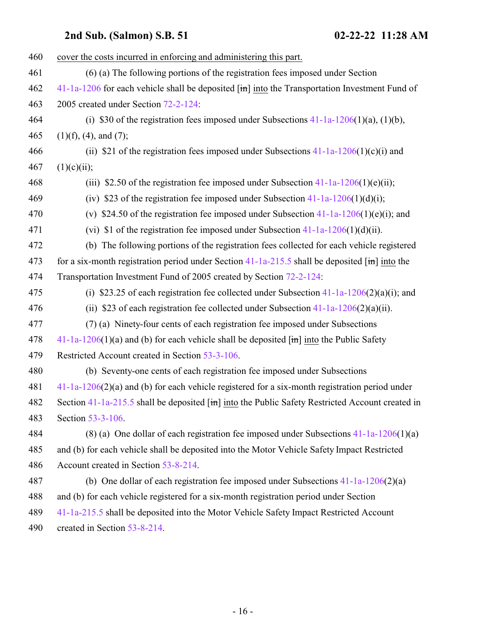| 460 | cover the costs incurred in enforcing and administering this part.                                          |
|-----|-------------------------------------------------------------------------------------------------------------|
| 461 | (6) (a) The following portions of the registration fees imposed under Section                               |
| 462 | $41-1a-1206$ for each vehicle shall be deposited $\overline{m}$ into the Transportation Investment Fund of  |
| 463 | 2005 created under Section 72-2-124:                                                                        |
| 464 | (i) \$30 of the registration fees imposed under Subsections $41-1a-1206(1)(a)$ , (1)(b),                    |
| 465 | $(1)(f)$ , $(4)$ , and $(7)$ ;                                                                              |
| 466 | (ii) \$21 of the registration fees imposed under Subsections $41-1a-1206(1)(c)(i)$ and                      |
| 467 | (1)(c)(ii);                                                                                                 |
| 468 | (iii) \$2.50 of the registration fee imposed under Subsection $41-1a-1206(1)(e)$ (ii);                      |
| 469 | (iv) \$23 of the registration fee imposed under Subsection $41-1a-1206(1)(d)(i)$ ;                          |
| 470 | (v) \$24.50 of the registration fee imposed under Subsection $41-1a-1206(1)(e)(i)$ ; and                    |
| 471 | (vi) \$1 of the registration fee imposed under Subsection $41-1a-1206(1)(d)(ii)$ .                          |
| 472 | (b) The following portions of the registration fees collected for each vehicle registered                   |
| 473 | for a six-month registration period under Section $41$ -1a-215.5 shall be deposited [in] into the           |
| 474 | Transportation Investment Fund of 2005 created by Section 72-2-124:                                         |
| 475 | (i) \$23.25 of each registration fee collected under Subsection $41-1a-1206(2)(a)(i)$ ; and                 |
| 476 | (ii) \$23 of each registration fee collected under Subsection $41-1a-1206(2)(a)(ii)$ .                      |
| 477 | (7) (a) Ninety-four cents of each registration fee imposed under Subsections                                |
| 478 | $41-1a-1206(1)(a)$ and (b) for each vehicle shall be deposited $\overline{[m]}$ into the Public Safety      |
| 479 | Restricted Account created in Section 53-3-106.                                                             |
| 480 | (b) Seventy-one cents of each registration fee imposed under Subsections                                    |
| 481 | $41-1a-1206(2)(a)$ and (b) for each vehicle registered for a six-month registration period under            |
| 482 | Section $41-1a-215.5$ shall be deposited $[\text{im}]$ into the Public Safety Restricted Account created in |
| 483 | Section 53-3-106.                                                                                           |
| 484 | (8) (a) One dollar of each registration fee imposed under Subsections $41-1a-1206(1)(a)$                    |
| 485 | and (b) for each vehicle shall be deposited into the Motor Vehicle Safety Impact Restricted                 |
| 486 | Account created in Section 53-8-214.                                                                        |
| 487 | (b) One dollar of each registration fee imposed under Subsections $41-1a-1206(2)(a)$                        |
| 488 | and (b) for each vehicle registered for a six-month registration period under Section                       |
| 489 | 41-1a-215.5 shall be deposited into the Motor Vehicle Safety Impact Restricted Account                      |
| 490 | created in Section 53-8-214.                                                                                |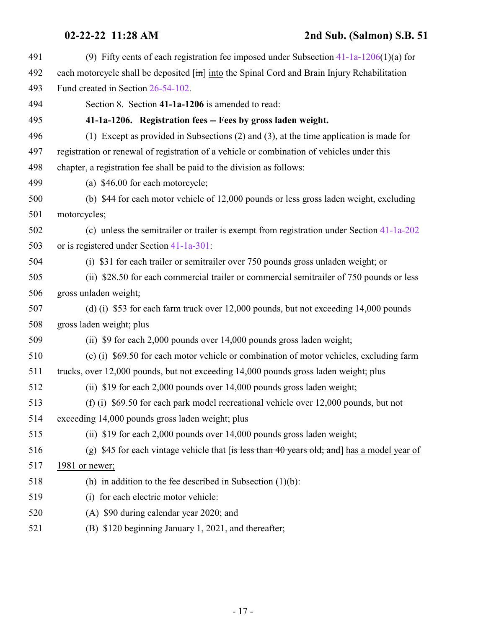<span id="page-16-0"></span>

| 491 | (9) Fifty cents of each registration fee imposed under Subsection $41-1a-1206(1)(a)$ for      |
|-----|-----------------------------------------------------------------------------------------------|
| 492 | each motorcycle shall be deposited [in] into the Spinal Cord and Brain Injury Rehabilitation  |
| 493 | Fund created in Section 26-54-102.                                                            |
| 494 | Section 8. Section 41-1a-1206 is amended to read:                                             |
| 495 | 41-1a-1206. Registration fees -- Fees by gross laden weight.                                  |
| 496 | (1) Except as provided in Subsections $(2)$ and $(3)$ , at the time application is made for   |
| 497 | registration or renewal of registration of a vehicle or combination of vehicles under this    |
| 498 | chapter, a registration fee shall be paid to the division as follows:                         |
| 499 | (a) \$46.00 for each motorcycle;                                                              |
| 500 | (b) \$44 for each motor vehicle of 12,000 pounds or less gross laden weight, excluding        |
| 501 | motorcycles;                                                                                  |
| 502 | (c) unless the semitrailer or trailer is exempt from registration under Section 41-1a-202     |
| 503 | or is registered under Section 41-1a-301:                                                     |
| 504 | (i) \$31 for each trailer or semitrailer over 750 pounds gross unladen weight; or             |
| 505 | (ii) \$28.50 for each commercial trailer or commercial semitrailer of 750 pounds or less      |
| 506 | gross unladen weight;                                                                         |
| 507 | (d) (i) \$53 for each farm truck over 12,000 pounds, but not exceeding 14,000 pounds          |
| 508 | gross laden weight; plus                                                                      |
| 509 | (ii) \$9 for each 2,000 pounds over 14,000 pounds gross laden weight;                         |
| 510 | (e) (i) \$69.50 for each motor vehicle or combination of motor vehicles, excluding farm       |
| 511 | trucks, over 12,000 pounds, but not exceeding 14,000 pounds gross laden weight; plus          |
| 512 | (ii) \$19 for each 2,000 pounds over 14,000 pounds gross laden weight;                        |
| 513 | (f) (i) \$69.50 for each park model recreational vehicle over 12,000 pounds, but not          |
| 514 | exceeding 14,000 pounds gross laden weight; plus                                              |
| 515 | (ii) \$19 for each 2,000 pounds over 14,000 pounds gross laden weight;                        |
| 516 | (g) \$45 for each vintage vehicle that $f$ is less than 40 years old; and has a model year of |
| 517 | 1981 or newer;                                                                                |
| 518 | (h) in addition to the fee described in Subsection $(1)(b)$ :                                 |
| 519 | (i) for each electric motor vehicle:                                                          |
| 520 | (A) \$90 during calendar year 2020; and                                                       |
| 521 | (B) \$120 beginning January 1, 2021, and thereafter;                                          |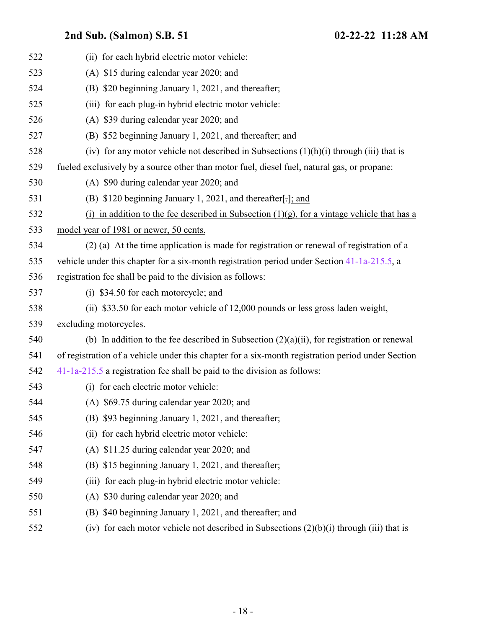| 522 | (ii) for each hybrid electric motor vehicle:                                                      |
|-----|---------------------------------------------------------------------------------------------------|
| 523 | (A) \$15 during calendar year 2020; and                                                           |
| 524 | (B) \$20 beginning January 1, 2021, and thereafter;                                               |
| 525 | (iii) for each plug-in hybrid electric motor vehicle:                                             |
| 526 | (A) \$39 during calendar year 2020; and                                                           |
| 527 | (B) \$52 beginning January 1, 2021, and thereafter; and                                           |
| 528 | (iv) for any motor vehicle not described in Subsections $(1)(h)(i)$ through (iii) that is         |
| 529 | fueled exclusively by a source other than motor fuel, diesel fuel, natural gas, or propane:       |
| 530 | (A) \$90 during calendar year 2020; and                                                           |
| 531 | (B) \$120 beginning January 1, 2021, and thereafter[.]; and                                       |
| 532 | (i) in addition to the fee described in Subsection $(1)(g)$ , for a vintage vehicle that has a    |
| 533 | model year of 1981 or newer, 50 cents.                                                            |
| 534 | (2) (a) At the time application is made for registration or renewal of registration of a          |
| 535 | vehicle under this chapter for a six-month registration period under Section 41-1a-215.5, a       |
| 536 | registration fee shall be paid to the division as follows:                                        |
| 537 | (i) \$34.50 for each motorcycle; and                                                              |
| 538 | (ii) \$33.50 for each motor vehicle of 12,000 pounds or less gross laden weight,                  |
| 539 | excluding motorcycles.                                                                            |
| 540 | (b) In addition to the fee described in Subsection $(2)(a)(ii)$ , for registration or renewal     |
| 541 | of registration of a vehicle under this chapter for a six-month registration period under Section |
| 542 | $41-1a-215.5$ a registration fee shall be paid to the division as follows:                        |
| 543 | (i) for each electric motor vehicle:                                                              |
| 544 | (A) $$69.75$ during calendar year 2020; and                                                       |
| 545 | (B) \$93 beginning January 1, 2021, and thereafter;                                               |
| 546 | (ii) for each hybrid electric motor vehicle:                                                      |
| 547 | (A) \$11.25 during calendar year 2020; and                                                        |
| 548 | (B) \$15 beginning January 1, 2021, and thereafter;                                               |
| 549 | for each plug-in hybrid electric motor vehicle:<br>(iii)                                          |
| 550 | (A) \$30 during calendar year 2020; and                                                           |
| 551 | \$40 beginning January 1, 2021, and thereafter; and<br>(B)                                        |
| 552 | (iv) for each motor vehicle not described in Subsections $(2)(b)(i)$ through (iii) that is        |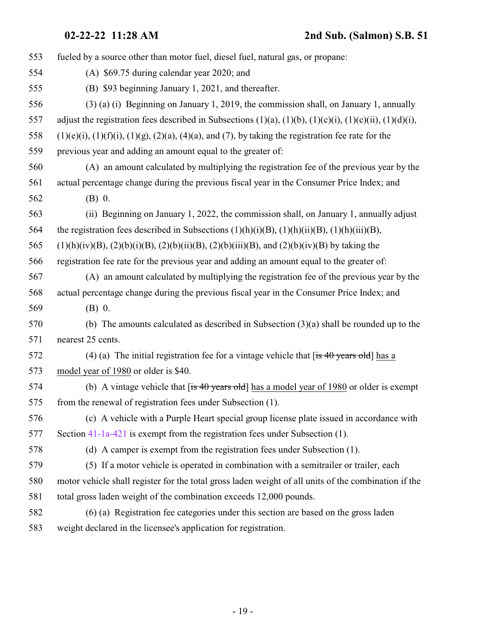| 553 | fueled by a source other than motor fuel, diesel fuel, natural gas, or propane:                                        |
|-----|------------------------------------------------------------------------------------------------------------------------|
| 554 | (A) \$69.75 during calendar year 2020; and                                                                             |
| 555 | (B) \$93 beginning January 1, 2021, and thereafter.                                                                    |
| 556 | $(3)$ (a) (i) Beginning on January 1, 2019, the commission shall, on January 1, annually                               |
| 557 | adjust the registration fees described in Subsections $(1)(a)$ , $(1)(b)$ , $(1)(c)(i)$ , $(1)(c)(ii)$ , $(1)(d)(i)$ , |
| 558 | $(1)(e)(i)$ , $(1)(f)(i)$ , $(1)(g)$ , $(2)(a)$ , $(4)(a)$ , and $(7)$ , by taking the registration fee rate for the   |
| 559 | previous year and adding an amount equal to the greater of:                                                            |
| 560 | (A) an amount calculated by multiplying the registration fee of the previous year by the                               |
| 561 | actual percentage change during the previous fiscal year in the Consumer Price Index; and                              |
| 562 | $(B)$ 0.                                                                                                               |
| 563 | (ii) Beginning on January 1, 2022, the commission shall, on January 1, annually adjust                                 |
| 564 | the registration fees described in Subsections $(1)(h)(i)(B)$ , $(1)(h)(ii)(B)$ , $(1)(h)(iii)(B)$ ,                   |
| 565 | $(1)(h)(iv)(B)$ , $(2)(b)(i)(B)$ , $(2)(b)(ii)(B)$ , $(2)(b)(iii)(B)$ , and $(2)(b)(iv)(B)$ by taking the              |
| 566 | registration fee rate for the previous year and adding an amount equal to the greater of:                              |
| 567 | (A) an amount calculated by multiplying the registration fee of the previous year by the                               |
| 568 | actual percentage change during the previous fiscal year in the Consumer Price Index; and                              |
| 569 | $(B)$ 0.                                                                                                               |
| 570 | (b) The amounts calculated as described in Subsection $(3)(a)$ shall be rounded up to the                              |
| 571 | nearest 25 cents.                                                                                                      |
| 572 | (4) (a) The initial registration fee for a vintage vehicle that $[i\sin 40 \text{ years}$ old has a                    |
| 573 | model year of 1980 or older is \$40.                                                                                   |
| 574 | (b) A vintage vehicle that $[$ is 40 years old] has a model year of 1980 or older is exempt                            |
| 575 | from the renewal of registration fees under Subsection (1).                                                            |
| 576 | (c) A vehicle with a Purple Heart special group license plate issued in accordance with                                |
| 577 | Section 41-1a-421 is exempt from the registration fees under Subsection (1).                                           |
| 578 | (d) A camper is exempt from the registration fees under Subsection (1).                                                |
| 579 | (5) If a motor vehicle is operated in combination with a semitrailer or trailer, each                                  |
| 580 | motor vehicle shall register for the total gross laden weight of all units of the combination if the                   |
| 581 | total gross laden weight of the combination exceeds 12,000 pounds.                                                     |
| 582 | (6) (a) Registration fee categories under this section are based on the gross laden                                    |
| 583 | weight declared in the licensee's application for registration.                                                        |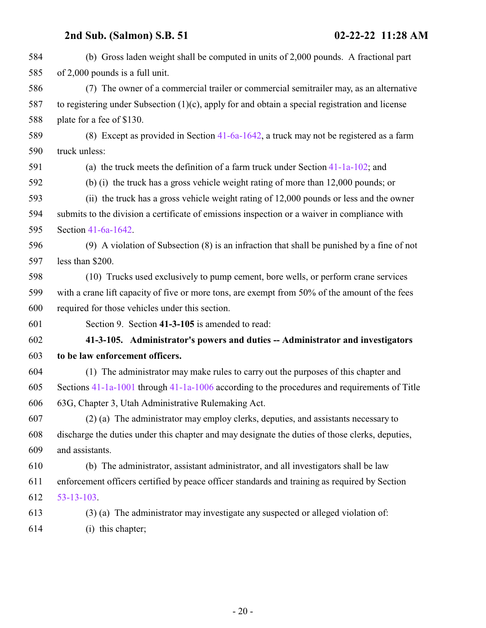<span id="page-19-0"></span>

| 584 | (b) Gross laden weight shall be computed in units of 2,000 pounds. A fractional part               |
|-----|----------------------------------------------------------------------------------------------------|
| 585 | of 2,000 pounds is a full unit.                                                                    |
| 586 | (7) The owner of a commercial trailer or commercial semitrailer may, as an alternative             |
| 587 | to registering under Subsection $(1)(c)$ , apply for and obtain a special registration and license |
| 588 | plate for a fee of \$130.                                                                          |
| 589 | (8) Except as provided in Section $41-6a-1642$ , a truck may not be registered as a farm           |
| 590 | truck unless:                                                                                      |
| 591 | (a) the truck meets the definition of a farm truck under Section $41-1a-102$ ; and                 |
| 592 | (b) (i) the truck has a gross vehicle weight rating of more than 12,000 pounds; or                 |
| 593 | (ii) the truck has a gross vehicle weight rating of 12,000 pounds or less and the owner            |
| 594 | submits to the division a certificate of emissions inspection or a waiver in compliance with       |
| 595 | Section 41-6a-1642.                                                                                |
| 596 | $(9)$ A violation of Subsection $(8)$ is an infraction that shall be punished by a fine of not     |
| 597 | less than \$200.                                                                                   |
| 598 | (10) Trucks used exclusively to pump cement, bore wells, or perform crane services                 |
| 599 | with a crane lift capacity of five or more tons, are exempt from 50% of the amount of the fees     |
| 600 | required for those vehicles under this section.                                                    |
| 601 | Section 9. Section 41-3-105 is amended to read:                                                    |
| 602 | 41-3-105. Administrator's powers and duties -- Administrator and investigators                     |
| 603 | to be law enforcement officers.                                                                    |
| 604 | (1) The administrator may make rules to carry out the purposes of this chapter and                 |
| 605 | Sections $41-1a-1001$ through $41-1a-1006$ according to the procedures and requirements of Title   |
| 606 | 63G, Chapter 3, Utah Administrative Rulemaking Act.                                                |
| 607 | (2) (a) The administrator may employ clerks, deputies, and assistants necessary to                 |
| 608 | discharge the duties under this chapter and may designate the duties of those clerks, deputies,    |
| 609 | and assistants.                                                                                    |
| 610 | (b) The administrator, assistant administrator, and all investigators shall be law                 |
| 611 | enforcement officers certified by peace officer standards and training as required by Section      |
| 612 | $53 - 13 - 103$ .                                                                                  |
| 613 | (3) (a) The administrator may investigate any suspected or alleged violation of:                   |
| 614 | (i) this chapter;                                                                                  |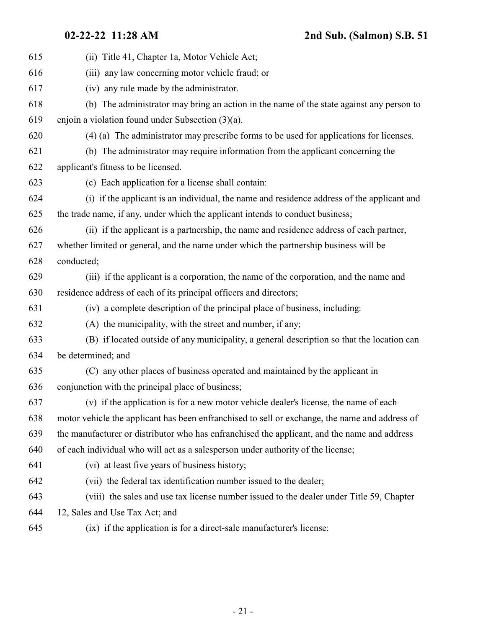| 615 | (ii) Title 41, Chapter 1a, Motor Vehicle Act;                                                  |
|-----|------------------------------------------------------------------------------------------------|
| 616 | (iii) any law concerning motor vehicle fraud; or                                               |
| 617 | (iv) any rule made by the administrator.                                                       |
| 618 | (b) The administrator may bring an action in the name of the state against any person to       |
| 619 | enjoin a violation found under Subsection (3)(a).                                              |
| 620 | (4) (a) The administrator may prescribe forms to be used for applications for licenses.        |
| 621 | (b) The administrator may require information from the applicant concerning the                |
| 622 | applicant's fitness to be licensed.                                                            |
| 623 | (c) Each application for a license shall contain:                                              |
| 624 | (i) if the applicant is an individual, the name and residence address of the applicant and     |
| 625 | the trade name, if any, under which the applicant intends to conduct business;                 |
| 626 | (ii) if the applicant is a partnership, the name and residence address of each partner,        |
| 627 | whether limited or general, and the name under which the partnership business will be          |
| 628 | conducted;                                                                                     |
| 629 | (iii) if the applicant is a corporation, the name of the corporation, and the name and         |
| 630 | residence address of each of its principal officers and directors;                             |
| 631 | (iv) a complete description of the principal place of business, including:                     |
| 632 | (A) the municipality, with the street and number, if any;                                      |
| 633 | (B) if located outside of any municipality, a general description so that the location can     |
| 634 | be determined; and                                                                             |
| 635 | (C) any other places of business operated and maintained by the applicant in                   |
| 636 | conjunction with the principal place of business;                                              |
| 637 | (v) if the application is for a new motor vehicle dealer's license, the name of each           |
| 638 | motor vehicle the applicant has been enfranchised to sell or exchange, the name and address of |
| 639 | the manufacturer or distributor who has enfranchised the applicant, and the name and address   |
| 640 | of each individual who will act as a salesperson under authority of the license;               |
| 641 | (vi) at least five years of business history;                                                  |
| 642 | (vii) the federal tax identification number issued to the dealer;                              |
| 643 | (viii) the sales and use tax license number issued to the dealer under Title 59, Chapter       |
| 644 | 12, Sales and Use Tax Act; and                                                                 |

(ix) if the application is for a direct-sale manufacturer's license: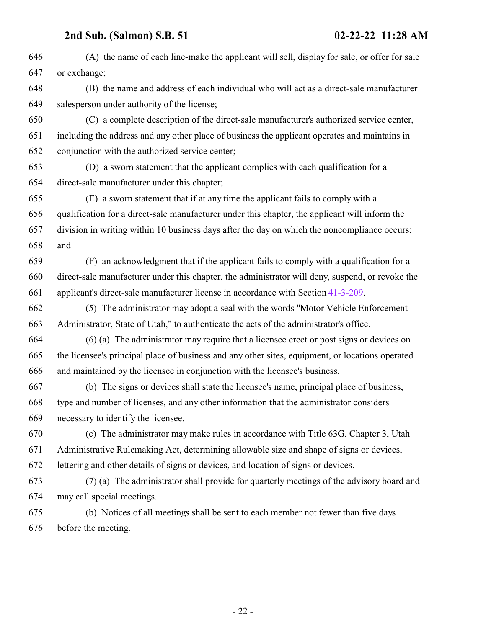(A) the name of each line-make the applicant will sell, display for sale, or offer for sale or exchange; (B) the name and address of each individual who will act as a direct-sale manufacturer salesperson under authority of the license; (C) a complete description of the direct-sale manufacturer's authorized service center, including the address and any other place of business the applicant operates and maintains in conjunction with the authorized service center; (D) a sworn statement that the applicant complies with each qualification for a direct-sale manufacturer under this chapter; (E) a sworn statement that if at any time the applicant fails to comply with a qualification for a direct-sale manufacturer under this chapter, the applicant will inform the division in writing within 10 business days after the day on which the noncompliance occurs; and (F) an acknowledgment that if the applicant fails to comply with a qualification for a direct-sale manufacturer under this chapter, the administrator will deny, suspend, or revoke the applicant's direct-sale manufacturer license in accordance with Section [41-3-209](http://le.utah.gov/UtahCode/SectionLookup.jsp?section=41-3-209&session=2022GS). (5) The administrator may adopt a seal with the words "Motor Vehicle Enforcement Administrator, State of Utah," to authenticate the acts of the administrator's office. (6) (a) The administrator may require that a licensee erect or post signs or devices on the licensee's principal place of business and any other sites, equipment, or locations operated and maintained by the licensee in conjunction with the licensee's business. (b) The signs or devices shall state the licensee's name, principal place of business, type and number of licenses, and any other information that the administrator considers necessary to identify the licensee. (c) The administrator may make rules in accordance with Title 63G, Chapter 3, Utah Administrative Rulemaking Act, determining allowable size and shape of signs or devices, lettering and other details of signs or devices, and location of signs or devices. (7) (a) The administrator shall provide for quarterly meetings of the advisory board and may call special meetings. (b) Notices of all meetings shall be sent to each member not fewer than five days before the meeting.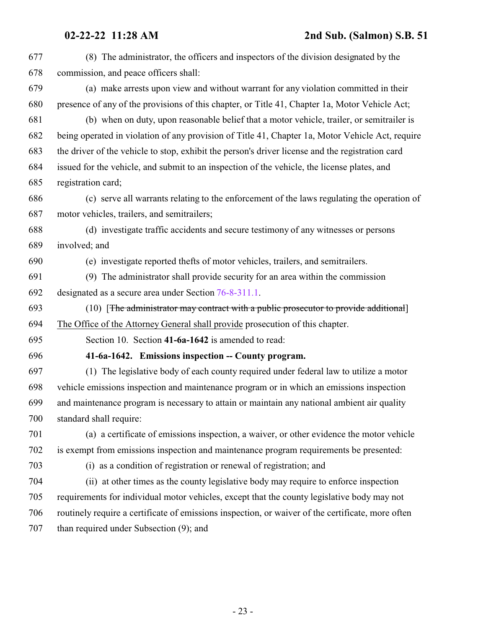<span id="page-22-0"></span>

| 677 | (8) The administrator, the officers and inspectors of the division designated by the              |
|-----|---------------------------------------------------------------------------------------------------|
| 678 | commission, and peace officers shall:                                                             |
| 679 | (a) make arrests upon view and without warrant for any violation committed in their               |
| 680 | presence of any of the provisions of this chapter, or Title 41, Chapter 1a, Motor Vehicle Act;    |
| 681 | (b) when on duty, upon reasonable belief that a motor vehicle, trailer, or semitrailer is         |
| 682 | being operated in violation of any provision of Title 41, Chapter 1a, Motor Vehicle Act, require  |
| 683 | the driver of the vehicle to stop, exhibit the person's driver license and the registration card  |
| 684 | issued for the vehicle, and submit to an inspection of the vehicle, the license plates, and       |
| 685 | registration card;                                                                                |
| 686 | (c) serve all warrants relating to the enforcement of the laws regulating the operation of        |
| 687 | motor vehicles, trailers, and semitrailers;                                                       |
| 688 | (d) investigate traffic accidents and secure testimony of any witnesses or persons                |
| 689 | involved; and                                                                                     |
| 690 | (e) investigate reported thefts of motor vehicles, trailers, and semitrailers.                    |
| 691 | (9) The administrator shall provide security for an area within the commission                    |
| 692 | designated as a secure area under Section 76-8-311.1.                                             |
| 693 | (10) [The administrator may contract with a public prosecutor to provide additional]              |
| 694 | The Office of the Attorney General shall provide prosecution of this chapter.                     |
| 695 | Section 10. Section 41-6a-1642 is amended to read:                                                |
| 696 | 41-6a-1642. Emissions inspection -- County program.                                               |
| 697 | (1) The legislative body of each county required under federal law to utilize a motor             |
| 698 | vehicle emissions inspection and maintenance program or in which an emissions inspection          |
| 699 | and maintenance program is necessary to attain or maintain any national ambient air quality       |
| 700 | standard shall require:                                                                           |
| 701 | (a) a certificate of emissions inspection, a waiver, or other evidence the motor vehicle          |
| 702 | is exempt from emissions inspection and maintenance program requirements be presented:            |
| 703 | (i) as a condition of registration or renewal of registration; and                                |
| 704 | (ii) at other times as the county legislative body may require to enforce inspection              |
| 705 | requirements for individual motor vehicles, except that the county legislative body may not       |
| 706 | routinely require a certificate of emissions inspection, or waiver of the certificate, more often |
| 707 | than required under Subsection (9); and                                                           |
|     |                                                                                                   |
|     |                                                                                                   |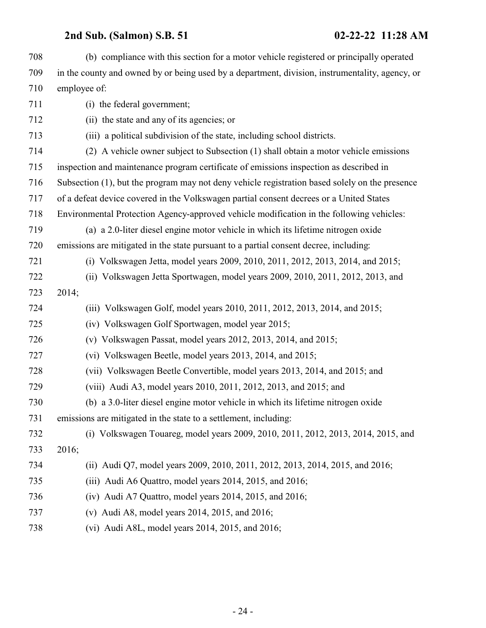| 708 | (b) compliance with this section for a motor vehicle registered or principally operated         |
|-----|-------------------------------------------------------------------------------------------------|
| 709 | in the county and owned by or being used by a department, division, instrumentality, agency, or |
| 710 | employee of:                                                                                    |
| 711 | (i) the federal government;                                                                     |
| 712 | (ii) the state and any of its agencies; or                                                      |
| 713 | (iii) a political subdivision of the state, including school districts.                         |
| 714 | (2) A vehicle owner subject to Subsection (1) shall obtain a motor vehicle emissions            |
| 715 | inspection and maintenance program certificate of emissions inspection as described in          |
| 716 | Subsection (1), but the program may not deny vehicle registration based solely on the presence  |
| 717 | of a defeat device covered in the Volkswagen partial consent decrees or a United States         |
| 718 | Environmental Protection Agency-approved vehicle modification in the following vehicles:        |
| 719 | (a) a 2.0-liter diesel engine motor vehicle in which its lifetime nitrogen oxide                |
| 720 | emissions are mitigated in the state pursuant to a partial consent decree, including:           |
| 721 | (i) Volkswagen Jetta, model years 2009, 2010, 2011, 2012, 2013, 2014, and 2015;                 |
| 722 | (ii) Volkswagen Jetta Sportwagen, model years 2009, 2010, 2011, 2012, 2013, and                 |
| 723 | 2014;                                                                                           |
| 724 | (iii) Volkswagen Golf, model years 2010, 2011, 2012, 2013, 2014, and 2015;                      |
| 725 | (iv) Volkswagen Golf Sportwagen, model year 2015;                                               |
| 726 | (v) Volkswagen Passat, model years $2012$ , $2013$ , $2014$ , and $2015$ ;                      |
| 727 | (vi) Volkswagen Beetle, model years 2013, 2014, and 2015;                                       |
| 728 | (vii) Volkswagen Beetle Convertible, model years 2013, 2014, and 2015; and                      |
| 729 | (viii) Audi A3, model years 2010, 2011, 2012, 2013, and 2015; and                               |
| 730 | (b) a 3.0-liter diesel engine motor vehicle in which its lifetime nitrogen oxide                |
| 731 | emissions are mitigated in the state to a settlement, including:                                |
| 732 | (i) Volkswagen Touareg, model years 2009, 2010, 2011, 2012, 2013, 2014, 2015, and               |
| 733 | 2016;                                                                                           |
| 734 | (ii) Audi Q7, model years 2009, 2010, 2011, 2012, 2013, 2014, 2015, and 2016;                   |
| 735 | (iii) Audi A6 Quattro, model years 2014, 2015, and 2016;                                        |
| 736 | $(iv)$ Audi A7 Quattro, model years 2014, 2015, and 2016;                                       |
| 737 | (v) Audi A8, model years 2014, 2015, and 2016;                                                  |
| 738 | (vi) Audi A8L, model years $2014$ , $2015$ , and $2016$ ;                                       |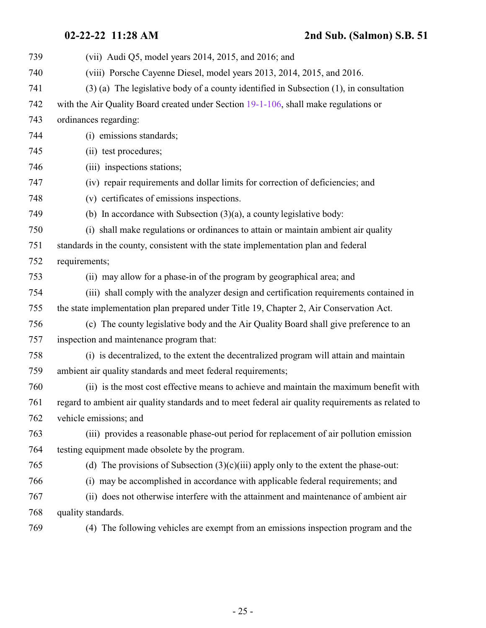| 739 | (vii) Audi Q5, model years $2014$ , $2015$ , and $2016$ ; and                                      |
|-----|----------------------------------------------------------------------------------------------------|
| 740 | (viii) Porsche Cayenne Diesel, model years 2013, 2014, 2015, and 2016.                             |
| 741 | $(3)$ (a) The legislative body of a county identified in Subsection $(1)$ , in consultation        |
| 742 | with the Air Quality Board created under Section 19-1-106, shall make regulations or               |
| 743 | ordinances regarding:                                                                              |
| 744 | (i) emissions standards;                                                                           |
| 745 | (ii) test procedures;                                                                              |
| 746 | (iii) inspections stations;                                                                        |
| 747 | (iv) repair requirements and dollar limits for correction of deficiencies; and                     |
| 748 | (v) certificates of emissions inspections.                                                         |
| 749 | (b) In accordance with Subsection $(3)(a)$ , a county legislative body:                            |
| 750 | (i) shall make regulations or ordinances to attain or maintain ambient air quality                 |
| 751 | standards in the county, consistent with the state implementation plan and federal                 |
| 752 | requirements;                                                                                      |
| 753 | (ii) may allow for a phase-in of the program by geographical area; and                             |
| 754 | (iii) shall comply with the analyzer design and certification requirements contained in            |
| 755 | the state implementation plan prepared under Title 19, Chapter 2, Air Conservation Act.            |
| 756 | (c) The county legislative body and the Air Quality Board shall give preference to an              |
| 757 | inspection and maintenance program that:                                                           |
| 758 | (i) is decentralized, to the extent the decentralized program will attain and maintain             |
| 759 | ambient air quality standards and meet federal requirements;                                       |
| 760 | (ii) is the most cost effective means to achieve and maintain the maximum benefit with             |
| 761 | regard to ambient air quality standards and to meet federal air quality requirements as related to |
| 762 | vehicle emissions; and                                                                             |
| 763 | (iii) provides a reasonable phase-out period for replacement of air pollution emission             |
| 764 | testing equipment made obsolete by the program.                                                    |
| 765 | (d) The provisions of Subsection $(3)(c)(iii)$ apply only to the extent the phase-out:             |
| 766 | (i) may be accomplished in accordance with applicable federal requirements; and                    |
| 767 | (ii) does not otherwise interfere with the attainment and maintenance of ambient air               |
| 768 | quality standards.                                                                                 |
| 769 | (4) The following vehicles are exempt from an emissions inspection program and the                 |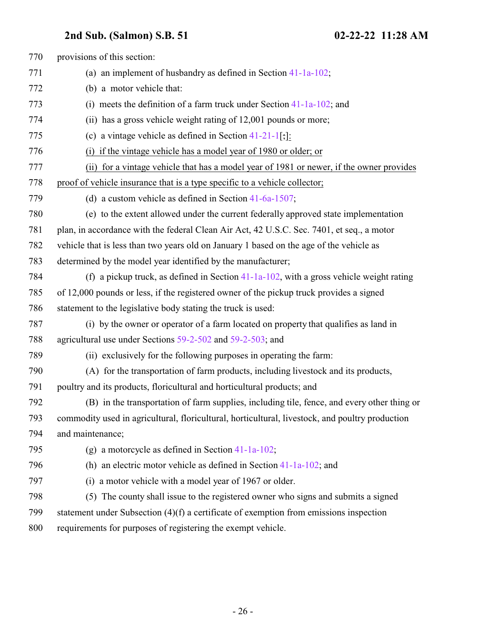| 770 | provisions of this section:                                                                     |
|-----|-------------------------------------------------------------------------------------------------|
| 771 | (a) an implement of husbandry as defined in Section $41-1a-102$ ;                               |
| 772 | (b) a motor vehicle that:                                                                       |
| 773 | (i) meets the definition of a farm truck under Section $41-1a-102$ ; and                        |
| 774 | (ii) has a gross vehicle weight rating of 12,001 pounds or more;                                |
| 775 | (c) a vintage vehicle as defined in Section $41-21-1$ [;]:                                      |
| 776 | (i) if the vintage vehicle has a model year of 1980 or older; or                                |
| 777 | (ii) for a vintage vehicle that has a model year of 1981 or newer, if the owner provides        |
| 778 | proof of vehicle insurance that is a type specific to a vehicle collector;                      |
| 779 | (d) a custom vehicle as defined in Section $41-6a-1507$ ;                                       |
| 780 | (e) to the extent allowed under the current federally approved state implementation             |
| 781 | plan, in accordance with the federal Clean Air Act, 42 U.S.C. Sec. 7401, et seq., a motor       |
| 782 | vehicle that is less than two years old on January 1 based on the age of the vehicle as         |
| 783 | determined by the model year identified by the manufacturer;                                    |
| 784 | (f) a pickup truck, as defined in Section $41-1a-102$ , with a gross vehicle weight rating      |
| 785 | of 12,000 pounds or less, if the registered owner of the pickup truck provides a signed         |
| 786 | statement to the legislative body stating the truck is used:                                    |
| 787 | (i) by the owner or operator of a farm located on property that qualifies as land in            |
| 788 | agricultural use under Sections 59-2-502 and 59-2-503; and                                      |
| 789 | (ii) exclusively for the following purposes in operating the farm:                              |
| 790 | (A) for the transportation of farm products, including livestock and its products,              |
| 791 | poultry and its products, floricultural and horticultural products; and                         |
| 792 | (B) in the transportation of farm supplies, including tile, fence, and every other thing or     |
| 793 | commodity used in agricultural, floricultural, horticultural, livestock, and poultry production |
| 794 | and maintenance;                                                                                |
| 795 | (g) a motorcycle as defined in Section $41-1a-102$ ;                                            |
| 796 | (h) an electric motor vehicle as defined in Section $41-1a-102$ ; and                           |
| 797 | (i) a motor vehicle with a model year of 1967 or older.                                         |
| 798 | (5) The county shall issue to the registered owner who signs and submits a signed               |
| 799 | statement under Subsection $(4)(f)$ a certificate of exemption from emissions inspection        |
| 800 | requirements for purposes of registering the exempt vehicle.                                    |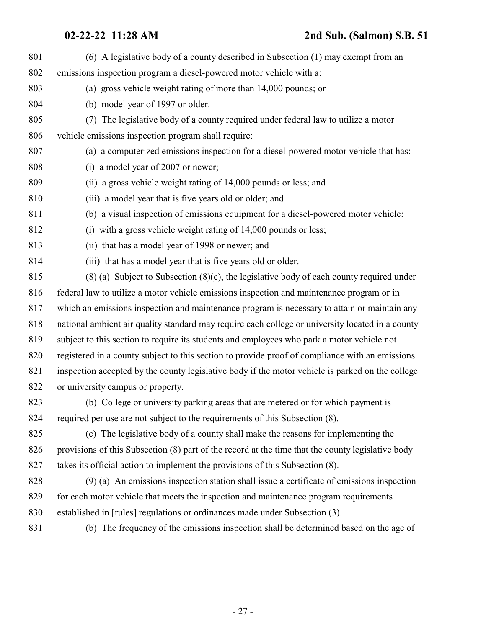| 801 | (6) A legislative body of a county described in Subsection (1) may exempt from an                 |
|-----|---------------------------------------------------------------------------------------------------|
| 802 | emissions inspection program a diesel-powered motor vehicle with a:                               |
| 803 | (a) gross vehicle weight rating of more than 14,000 pounds; or                                    |
| 804 | (b) model year of 1997 or older.                                                                  |
| 805 | The legislative body of a county required under federal law to utilize a motor<br>(7)             |
| 806 | vehicle emissions inspection program shall require:                                               |
| 807 | (a) a computerized emissions inspection for a diesel-powered motor vehicle that has:              |
| 808 | (i) a model year of 2007 or newer;                                                                |
| 809 | (ii) a gross vehicle weight rating of 14,000 pounds or less; and                                  |
| 810 | (iii) a model year that is five years old or older; and                                           |
| 811 | (b) a visual inspection of emissions equipment for a diesel-powered motor vehicle:                |
| 812 | (i) with a gross vehicle weight rating of 14,000 pounds or less;                                  |
| 813 | (ii) that has a model year of 1998 or newer; and                                                  |
| 814 | (iii) that has a model year that is five years old or older.                                      |
| 815 | $(8)$ (a) Subject to Subsection $(8)(c)$ , the legislative body of each county required under     |
| 816 | federal law to utilize a motor vehicle emissions inspection and maintenance program or in         |
| 817 | which an emissions inspection and maintenance program is necessary to attain or maintain any      |
| 818 | national ambient air quality standard may require each college or university located in a county  |
| 819 | subject to this section to require its students and employees who park a motor vehicle not        |
| 820 | registered in a county subject to this section to provide proof of compliance with an emissions   |
| 821 | inspection accepted by the county legislative body if the motor vehicle is parked on the college  |
| 822 | or university campus or property.                                                                 |
| 823 | (b) College or university parking areas that are metered or for which payment is                  |
| 824 | required per use are not subject to the requirements of this Subsection (8).                      |
| 825 | (c) The legislative body of a county shall make the reasons for implementing the                  |
| 826 | provisions of this Subsection (8) part of the record at the time that the county legislative body |
| 827 | takes its official action to implement the provisions of this Subsection (8).                     |
| 828 | (9) (a) An emissions inspection station shall issue a certificate of emissions inspection         |
| 829 | for each motor vehicle that meets the inspection and maintenance program requirements             |
| 830 | established in [rules] regulations or ordinances made under Subsection (3).                       |
| 831 | (b) The frequency of the emissions inspection shall be determined based on the age of             |
|     |                                                                                                   |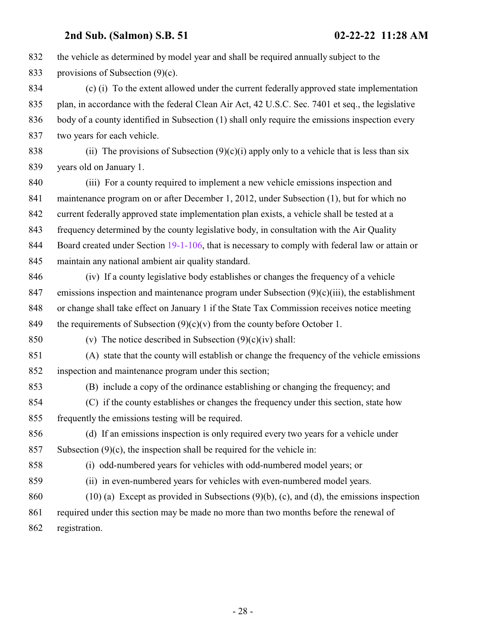the vehicle as determined by model year and shall be required annually subject to the 833 provisions of Subsection (9)(c). (c) (i) To the extent allowed under the current federally approved state implementation plan, in accordance with the federal Clean Air Act, 42 U.S.C. Sec. 7401 et seq., the legislative body of a county identified in Subsection (1) shall only require the emissions inspection every two years for each vehicle. 838 (ii) The provisions of Subsection  $(9)(c)(i)$  apply only to a vehicle that is less than six years old on January 1. (iii) For a county required to implement a new vehicle emissions inspection and maintenance program on or after December 1, 2012, under Subsection (1), but for which no current federally approved state implementation plan exists, a vehicle shall be tested at a frequency determined by the county legislative body, in consultation with the Air Quality 844 Board created under Section [19-1-106](http://le.utah.gov/UtahCode/SectionLookup.jsp?section=19-1-106&session=2022GS), that is necessary to comply with federal law or attain or maintain any national ambient air quality standard. (iv) If a county legislative body establishes or changes the frequency of a vehicle 847 emissions inspection and maintenance program under Subsection  $(9)(c)(iii)$ , the establishment or change shall take effect on January 1 if the State Tax Commission receives notice meeting 849 the requirements of Subsection  $(9)(c)(v)$  from the county before October 1. 850 (v) The notice described in Subsection  $(9)(c)(iv)$  shall: (A) state that the county will establish or change the frequency of the vehicle emissions inspection and maintenance program under this section; (B) include a copy of the ordinance establishing or changing the frequency; and (C) if the county establishes or changes the frequency under this section, state how frequently the emissions testing will be required. (d) If an emissions inspection is only required every two years for a vehicle under 857 Subsection  $(9)(c)$ , the inspection shall be required for the vehicle in: (i) odd-numbered years for vehicles with odd-numbered model years; or (ii) in even-numbered years for vehicles with even-numbered model years. (10) (a) Except as provided in Subsections (9)(b), (c), and (d), the emissions inspection required under this section may be made no more than two months before the renewal of registration.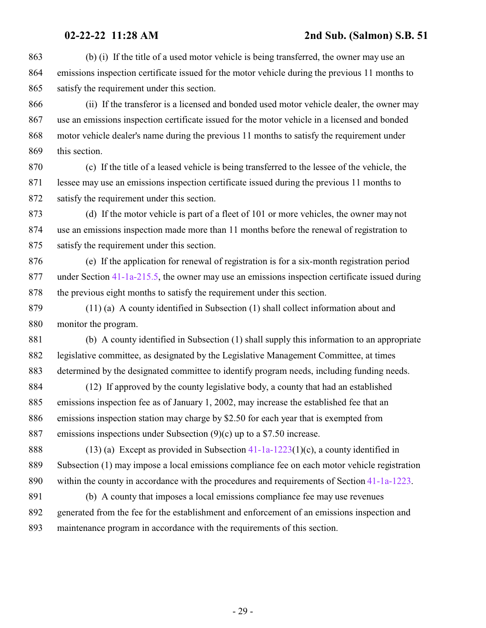(b) (i) If the title of a used motor vehicle is being transferred, the owner may use an emissions inspection certificate issued for the motor vehicle during the previous 11 months to satisfy the requirement under this section.

 (ii) If the transferor is a licensed and bonded used motor vehicle dealer, the owner may use an emissions inspection certificate issued for the motor vehicle in a licensed and bonded motor vehicle dealer's name during the previous 11 months to satisfy the requirement under this section.

 (c) If the title of a leased vehicle is being transferred to the lessee of the vehicle, the lessee may use an emissions inspection certificate issued during the previous 11 months to satisfy the requirement under this section.

 (d) If the motor vehicle is part of a fleet of 101 or more vehicles, the owner may not use an emissions inspection made more than 11 months before the renewal of registration to satisfy the requirement under this section.

 (e) If the application for renewal of registration is for a six-month registration period under Section [41-1a-215.5](http://le.utah.gov/UtahCode/SectionLookup.jsp?section=41-1a-215.5&session=2022GS), the owner may use an emissions inspection certificate issued during the previous eight months to satisfy the requirement under this section.

 (11) (a) A county identified in Subsection (1) shall collect information about and monitor the program.

 (b) A county identified in Subsection (1) shall supply this information to an appropriate legislative committee, as designated by the Legislative Management Committee, at times determined by the designated committee to identify program needs, including funding needs.

 (12) If approved by the county legislative body, a county that had an established emissions inspection fee as of January 1, 2002, may increase the established fee that an emissions inspection station may charge by \$2.50 for each year that is exempted from emissions inspections under Subsection (9)(c) up to a \$7.50 increase.

888 (13) (a) Except as provided in Subsection -1a-1223(1)(c), a county identified in Subsection (1) may impose a local emissions compliance fee on each motor vehicle registration within the county in accordance with the procedures and requirements of Section [41-1a-1223](http://le.utah.gov/UtahCode/SectionLookup.jsp?section=41-1a-1223&session=2022GS).

 (b) A county that imposes a local emissions compliance fee may use revenues generated from the fee for the establishment and enforcement of an emissions inspection and maintenance program in accordance with the requirements of this section.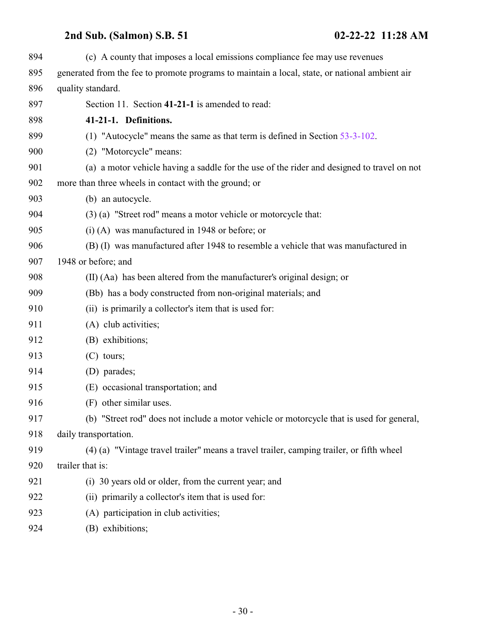<span id="page-29-0"></span>

| 894 | (c) A county that imposes a local emissions compliance fee may use revenues                    |
|-----|------------------------------------------------------------------------------------------------|
| 895 | generated from the fee to promote programs to maintain a local, state, or national ambient air |
| 896 | quality standard.                                                                              |
| 897 | Section 11. Section 41-21-1 is amended to read:                                                |
| 898 | 41-21-1. Definitions.                                                                          |
| 899 | (1) "Autocycle" means the same as that term is defined in Section $53-3-102$ .                 |
| 900 | (2) "Motorcycle" means:                                                                        |
| 901 | (a) a motor vehicle having a saddle for the use of the rider and designed to travel on not     |
| 902 | more than three wheels in contact with the ground; or                                          |
| 903 | (b) an autocycle.                                                                              |
| 904 | (3) (a) "Street rod" means a motor vehicle or motorcycle that:                                 |
| 905 | $(i)$ (A) was manufactured in 1948 or before; or                                               |
| 906 | (B) (I) was manufactured after 1948 to resemble a vehicle that was manufactured in             |
| 907 | 1948 or before; and                                                                            |
| 908 | (II) (Aa) has been altered from the manufacturer's original design; or                         |
| 909 | (Bb) has a body constructed from non-original materials; and                                   |
| 910 | (ii) is primarily a collector's item that is used for:                                         |
| 911 | (A) club activities;                                                                           |
| 912 | (B) exhibitions;                                                                               |
| 913 | $(C)$ tours;                                                                                   |
| 914 | (D) parades;                                                                                   |
| 915 | (E) occasional transportation; and                                                             |
| 916 | (F) other similar uses.                                                                        |
| 917 | (b) "Street rod" does not include a motor vehicle or motorcycle that is used for general,      |
| 918 | daily transportation.                                                                          |
| 919 | (4) (a) "Vintage travel trailer" means a travel trailer, camping trailer, or fifth wheel       |
| 920 | trailer that is:                                                                               |
| 921 | (i) 30 years old or older, from the current year; and                                          |
| 922 | (ii) primarily a collector's item that is used for:                                            |
| 923 | (A) participation in club activities;                                                          |
| 924 | (B) exhibitions;                                                                               |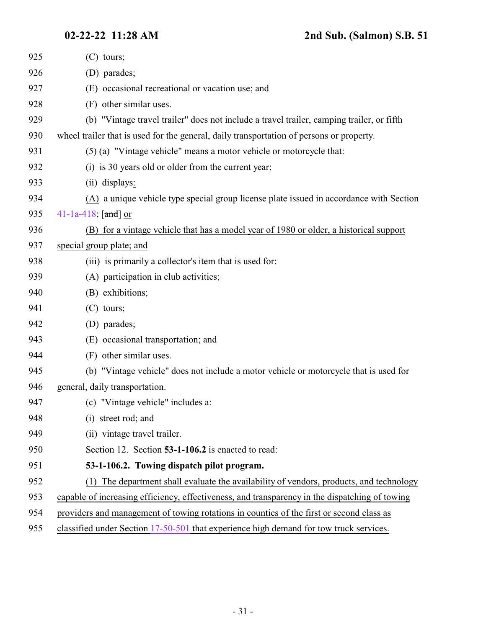<span id="page-30-0"></span>

| 925 | $(C)$ tours;                                                                                   |
|-----|------------------------------------------------------------------------------------------------|
| 926 | (D) parades;                                                                                   |
| 927 | (E) occasional recreational or vacation use; and                                               |
| 928 | (F) other similar uses.                                                                        |
| 929 | (b) "Vintage travel trailer" does not include a travel trailer, camping trailer, or fifth      |
| 930 | wheel trailer that is used for the general, daily transportation of persons or property.       |
| 931 | (5) (a) "Vintage vehicle" means a motor vehicle or motorcycle that:                            |
| 932 | (i) is 30 years old or older from the current year;                                            |
| 933 | (ii) displays:                                                                                 |
| 934 | (A) a unique vehicle type special group license plate issued in accordance with Section        |
| 935 | 41-1a-418; $[and]$ or                                                                          |
| 936 | (B) for a vintage vehicle that has a model year of 1980 or older, a historical support         |
| 937 | special group plate; and                                                                       |
| 938 | (iii) is primarily a collector's item that is used for:                                        |
| 939 | (A) participation in club activities;                                                          |
| 940 | (B) exhibitions;                                                                               |
| 941 | $(C)$ tours;                                                                                   |
| 942 | (D) parades;                                                                                   |
| 943 | (E) occasional transportation; and                                                             |
| 944 | (F) other similar uses.                                                                        |
| 945 | (b) "Vintage vehicle" does not include a motor vehicle or motorcycle that is used for          |
| 946 | general, daily transportation.                                                                 |
| 947 | (c) "Vintage vehicle" includes a:                                                              |
| 948 | (i) street rod; and                                                                            |
| 949 | (ii) vintage travel trailer.                                                                   |
| 950 | Section 12. Section 53-1-106.2 is enacted to read:                                             |
| 951 | 53-1-106.2. Towing dispatch pilot program.                                                     |
| 952 | The department shall evaluate the availability of vendors, products, and technology            |
| 953 | capable of increasing efficiency, effectiveness, and transparency in the dispatching of towing |
| 954 | providers and management of towing rotations in counties of the first or second class as       |
| 955 | classified under Section 17-50-501 that experience high demand for tow truck services.         |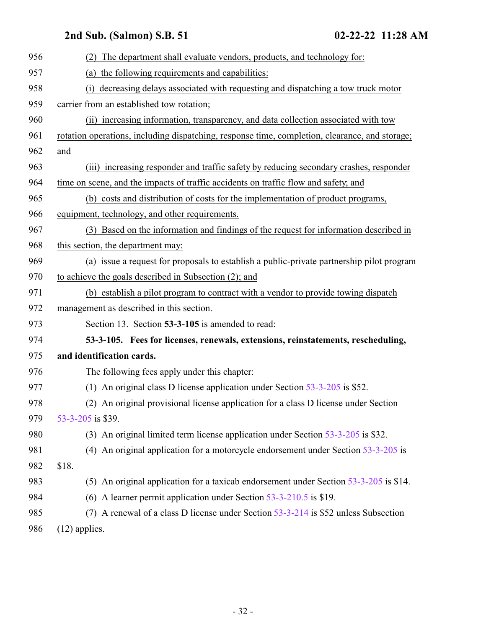<span id="page-31-0"></span>

| 956 | (2) The department shall evaluate vendors, products, and technology for:                       |
|-----|------------------------------------------------------------------------------------------------|
| 957 | (a) the following requirements and capabilities:                                               |
| 958 | decreasing delays associated with requesting and dispatching a tow truck motor                 |
| 959 | carrier from an established tow rotation;                                                      |
| 960 | (ii) increasing information, transparency, and data collection associated with tow             |
| 961 | rotation operations, including dispatching, response time, completion, clearance, and storage; |
| 962 | and                                                                                            |
| 963 | (iii) increasing responder and traffic safety by reducing secondary crashes, responder         |
| 964 | time on scene, and the impacts of traffic accidents on traffic flow and safety, and            |
| 965 | (b) costs and distribution of costs for the implementation of product programs,                |
| 966 | equipment, technology, and other requirements.                                                 |
| 967 | (3) Based on the information and findings of the request for information described in          |
| 968 | this section, the department may:                                                              |
| 969 | (a) issue a request for proposals to establish a public-private partnership pilot program      |
| 970 | to achieve the goals described in Subsection (2); and                                          |
| 971 | (b) establish a pilot program to contract with a vendor to provide towing dispatch             |
| 972 | management as described in this section.                                                       |
| 973 | Section 13. Section 53-3-105 is amended to read:                                               |
| 974 | 53-3-105. Fees for licenses, renewals, extensions, reinstatements, rescheduling,               |
| 975 | and identification cards.                                                                      |
| 976 | The following fees apply under this chapter:                                                   |
| 977 | (1) An original class D license application under Section $53-3-205$ is \$52.                  |
| 978 | (2) An original provisional license application for a class D license under Section            |
| 979 | 53-3-205 is \$39.                                                                              |
| 980 | (3) An original limited term license application under Section 53-3-205 is \$32.               |
| 981 | (4) An original application for a motorcycle endorsement under Section $53-3-205$ is           |
| 982 | \$18.                                                                                          |
| 983 | (5) An original application for a taxicab endorsement under Section 53-3-205 is \$14.          |
| 984 | (6) A learner permit application under Section $53-3-210.5$ is \$19.                           |
| 985 | (7) A renewal of a class D license under Section 53-3-214 is \$52 unless Subsection            |
| 986 | $(12)$ applies.                                                                                |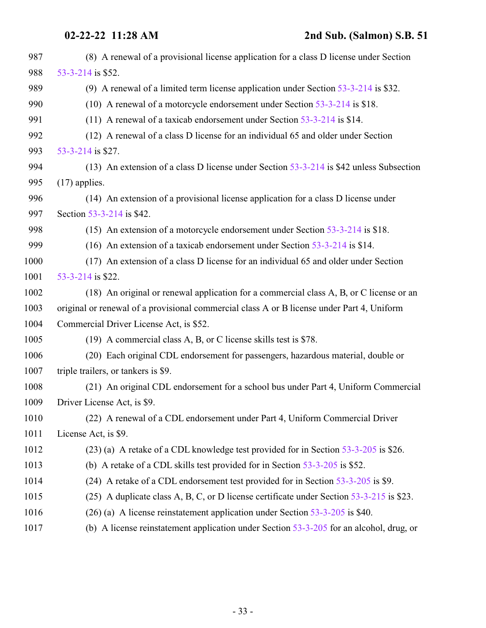| 987  | (8) A renewal of a provisional license application for a class D license under Section     |
|------|--------------------------------------------------------------------------------------------|
| 988  | 53-3-214 is \$52.                                                                          |
| 989  | (9) A renewal of a limited term license application under Section $53-3-214$ is \$32.      |
| 990  | (10) A renewal of a motorcycle endorsement under Section 53-3-214 is \$18.                 |
| 991  | (11) A renewal of a taxicab endorsement under Section $53-3-214$ is \$14.                  |
| 992  | (12) A renewal of a class D license for an individual 65 and older under Section           |
| 993  | 53-3-214 is \$27.                                                                          |
| 994  | (13) An extension of a class D license under Section $53-3-214$ is \$42 unless Subsection  |
| 995  | $(17)$ applies.                                                                            |
| 996  | (14) An extension of a provisional license application for a class D license under         |
| 997  | Section 53-3-214 is \$42.                                                                  |
| 998  | (15) An extension of a motorcycle endorsement under Section $53-3-214$ is \$18.            |
| 999  | (16) An extension of a taxicab endorsement under Section $53-3-214$ is \$14.               |
| 1000 | (17) An extension of a class D license for an individual 65 and older under Section        |
| 1001 | 53-3-214 is \$22.                                                                          |
| 1002 | (18) An original or renewal application for a commercial class A, B, or C license or an    |
| 1003 | original or renewal of a provisional commercial class A or B license under Part 4, Uniform |
| 1004 | Commercial Driver License Act, is \$52.                                                    |
| 1005 | (19) A commercial class A, B, or C license skills test is \$78.                            |
| 1006 | (20) Each original CDL endorsement for passengers, hazardous material, double or           |
| 1007 | triple trailers, or tankers is \$9.                                                        |
| 1008 | (21) An original CDL endorsement for a school bus under Part 4, Uniform Commercial         |
| 1009 | Driver License Act, is \$9.                                                                |
| 1010 | (22) A renewal of a CDL endorsement under Part 4, Uniform Commercial Driver                |
| 1011 | License Act, is \$9.                                                                       |
| 1012 | $(23)$ (a) A retake of a CDL knowledge test provided for in Section 53-3-205 is \$26.      |
| 1013 | (b) A retake of a CDL skills test provided for in Section $53-3-205$ is \$52.              |
| 1014 | (24) A retake of a CDL endorsement test provided for in Section 53-3-205 is \$9.           |
| 1015 | (25) A duplicate class A, B, C, or D license certificate under Section 53-3-215 is \$23.   |
| 1016 | $(26)$ (a) A license reinstatement application under Section 53-3-205 is \$40.             |
| 1017 | (b) A license reinstatement application under Section $53-3-205$ for an alcohol, drug, or  |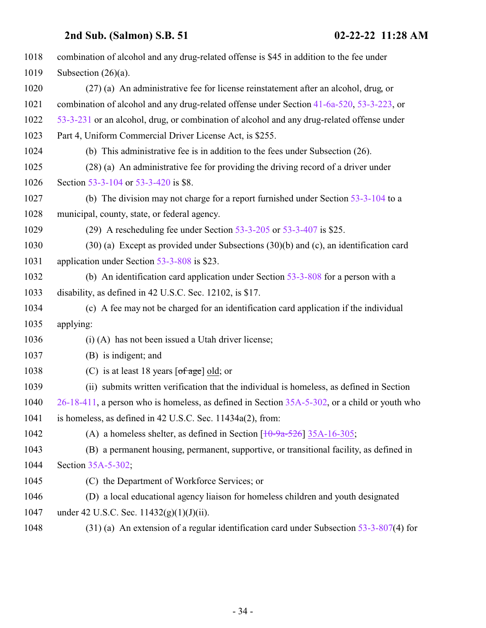| 1018 | combination of alcohol and any drug-related offense is \$45 in addition to the fee under         |
|------|--------------------------------------------------------------------------------------------------|
| 1019 | Subsection $(26)(a)$ .                                                                           |
| 1020 | (27) (a) An administrative fee for license reinstatement after an alcohol, drug, or              |
| 1021 | combination of alcohol and any drug-related offense under Section 41-6a-520, 53-3-223, or        |
| 1022 | 53-3-231 or an alcohol, drug, or combination of alcohol and any drug-related offense under       |
| 1023 | Part 4, Uniform Commercial Driver License Act, is \$255.                                         |
| 1024 | (b) This administrative fee is in addition to the fees under Subsection $(26)$ .                 |
| 1025 | (28) (a) An administrative fee for providing the driving record of a driver under                |
| 1026 | Section 53-3-104 or 53-3-420 is \$8.                                                             |
| 1027 | (b) The division may not charge for a report furnished under Section $53-3-104$ to a             |
| 1028 | municipal, county, state, or federal agency.                                                     |
| 1029 | (29) A rescheduling fee under Section $53-3-205$ or $53-3-407$ is \$25.                          |
| 1030 | $(30)$ (a) Except as provided under Subsections $(30)(b)$ and (c), an identification card        |
| 1031 | application under Section 53-3-808 is \$23.                                                      |
| 1032 | (b) An identification card application under Section $53-3-808$ for a person with a              |
| 1033 | disability, as defined in 42 U.S.C. Sec. 12102, is \$17.                                         |
| 1034 | (c) A fee may not be charged for an identification card application if the individual            |
| 1035 | applying:                                                                                        |
| 1036 | (i) (A) has not been issued a Utah driver license;                                               |
| 1037 | (B) is indigent; and                                                                             |
| 1038 | (C) is at least 18 years $\lceil \text{of age} \rceil$ old; or                                   |
| 1039 | (ii) submits written verification that the individual is homeless, as defined in Section         |
| 1040 | 26-18-411, a person who is homeless, as defined in Section 35A-5-302, or a child or youth who    |
| 1041 | is homeless, as defined in 42 U.S.C. Sec. 11434a(2), from:                                       |
| 1042 | (A) a homeless shelter, as defined in Section $\left[1\theta - \frac{9a-526}{35A-16-305}\right]$ |
| 1043 | (B) a permanent housing, permanent, supportive, or transitional facility, as defined in          |
| 1044 | Section 35A-5-302;                                                                               |
| 1045 | (C) the Department of Workforce Services; or                                                     |
| 1046 | (D) a local educational agency liaison for homeless children and youth designated                |
| 1047 | under 42 U.S.C. Sec. $11432(g)(1)(J)(ii)$ .                                                      |
| 1048 | $(31)$ (a) An extension of a regular identification card under Subsection 53-3-807(4) for        |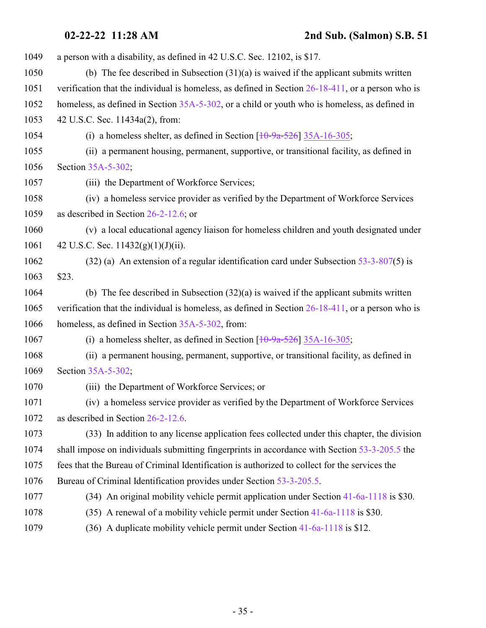| 1049 | a person with a disability, as defined in 42 U.S.C. Sec. 12102, is \$17.                             |
|------|------------------------------------------------------------------------------------------------------|
| 1050 | (b) The fee described in Subsection $(31)(a)$ is waived if the applicant submits written             |
| 1051 | verification that the individual is homeless, as defined in Section $26-18-411$ , or a person who is |
| 1052 | homeless, as defined in Section 35A-5-302, or a child or youth who is homeless, as defined in        |
| 1053 | 42 U.S.C. Sec. 11434a(2), from:                                                                      |
| 1054 | (i) a homeless shelter, as defined in Section $[10-9a-526]$ 35A-16-305;                              |
| 1055 | (ii) a permanent housing, permanent, supportive, or transitional facility, as defined in             |
| 1056 | Section 35A-5-302;                                                                                   |
| 1057 | (iii) the Department of Workforce Services;                                                          |
| 1058 | (iv) a homeless service provider as verified by the Department of Workforce Services                 |
| 1059 | as described in Section $26-2-12.6$ ; or                                                             |
| 1060 | (v) a local educational agency liaison for homeless children and youth designated under              |
| 1061 | 42 U.S.C. Sec. $11432(g)(1)(J)(ii)$ .                                                                |
| 1062 | $(32)$ (a) An extension of a regular identification card under Subsection 53-3-807(5) is             |
| 1063 | \$23.                                                                                                |
| 1064 | (b) The fee described in Subsection $(32)(a)$ is waived if the applicant submits written             |
| 1065 | verification that the individual is homeless, as defined in Section $26-18-411$ , or a person who is |
| 1066 | homeless, as defined in Section 35A-5-302, from:                                                     |
| 1067 | (i) a homeless shelter, as defined in Section $\left[10\text{-}9a\text{-}526\right]$ 35A-16-305;     |
| 1068 | (ii) a permanent housing, permanent, supportive, or transitional facility, as defined in             |
| 1069 | Section 35A-5-302;                                                                                   |
| 1070 | (iii) the Department of Workforce Services; or                                                       |
| 1071 | (iv) a homeless service provider as verified by the Department of Workforce Services                 |
| 1072 | as described in Section 26-2-12.6.                                                                   |
| 1073 | (33) In addition to any license application fees collected under this chapter, the division          |
| 1074 | shall impose on individuals submitting fingerprints in accordance with Section 53-3-205.5 the        |
| 1075 | fees that the Bureau of Criminal Identification is authorized to collect for the services the        |
| 1076 | Bureau of Criminal Identification provides under Section 53-3-205.5.                                 |
| 1077 | (34) An original mobility vehicle permit application under Section 41-6a-1118 is \$30.               |
| 1078 | (35) A renewal of a mobility vehicle permit under Section 41-6a-1118 is \$30.                        |
| 1079 | (36) A duplicate mobility vehicle permit under Section 41-6a-1118 is \$12.                           |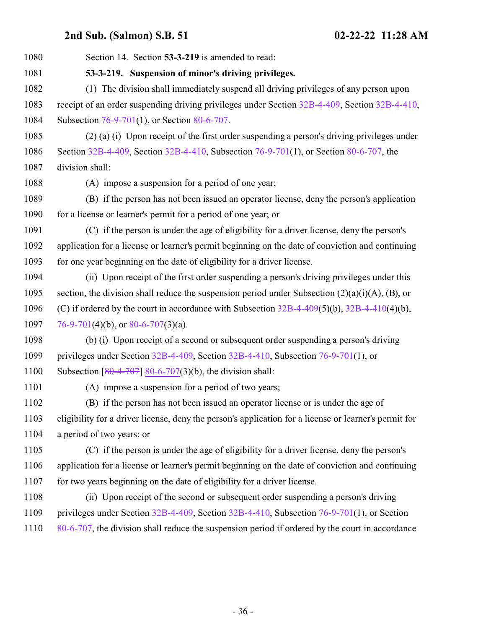<span id="page-35-0"></span>

| 1080 | Section 14. Section 53-3-219 is amended to read:                                                      |
|------|-------------------------------------------------------------------------------------------------------|
| 1081 | 53-3-219. Suspension of minor's driving privileges.                                                   |
| 1082 | (1) The division shall immediately suspend all driving privileges of any person upon                  |
| 1083 | receipt of an order suspending driving privileges under Section 32B-4-409, Section 32B-4-410,         |
| 1084 | Subsection 76-9-701(1), or Section 80-6-707.                                                          |
| 1085 | (2) (a) (i) Upon receipt of the first order suspending a person's driving privileges under            |
| 1086 | Section 32B-4-409, Section 32B-4-410, Subsection 76-9-701(1), or Section 80-6-707, the                |
| 1087 | division shall:                                                                                       |
| 1088 | (A) impose a suspension for a period of one year;                                                     |
| 1089 | (B) if the person has not been issued an operator license, deny the person's application              |
| 1090 | for a license or learner's permit for a period of one year; or                                        |
| 1091 | (C) if the person is under the age of eligibility for a driver license, deny the person's             |
| 1092 | application for a license or learner's permit beginning on the date of conviction and continuing      |
| 1093 | for one year beginning on the date of eligibility for a driver license.                               |
| 1094 | (ii) Upon receipt of the first order suspending a person's driving privileges under this              |
| 1095 | section, the division shall reduce the suspension period under Subsection $(2)(a)(i)(A)$ , $(B)$ , or |
| 1096 | (C) if ordered by the court in accordance with Subsection $32B-4-409(5)(b)$ , $32B-4-410(4)(b)$ ,     |
| 1097 | 76-9-701(4)(b), or 80-6-707(3)(a).                                                                    |
| 1098 | (b) (i) Upon receipt of a second or subsequent order suspending a person's driving                    |
| 1099 | privileges under Section $32B-4-409$ , Section $32B-4-410$ , Subsection 76-9-701(1), or               |
| 1100 | Subsection $\left[ \frac{80-4-707}{80-6-707} \right]$ 80-6-707(3)(b), the division shall:             |
| 1101 | (A) impose a suspension for a period of two years;                                                    |
| 1102 | (B) if the person has not been issued an operator license or is under the age of                      |
| 1103 | eligibility for a driver license, deny the person's application for a license or learner's permit for |
| 1104 | a period of two years; or                                                                             |
| 1105 | (C) if the person is under the age of eligibility for a driver license, deny the person's             |
| 1106 | application for a license or learner's permit beginning on the date of conviction and continuing      |
| 1107 | for two years beginning on the date of eligibility for a driver license.                              |
| 1108 | (ii) Upon receipt of the second or subsequent order suspending a person's driving                     |
| 1109 | privileges under Section 32B-4-409, Section 32B-4-410, Subsection 76-9-701(1), or Section             |
| 1110 | 80-6-707, the division shall reduce the suspension period if ordered by the court in accordance       |
|      |                                                                                                       |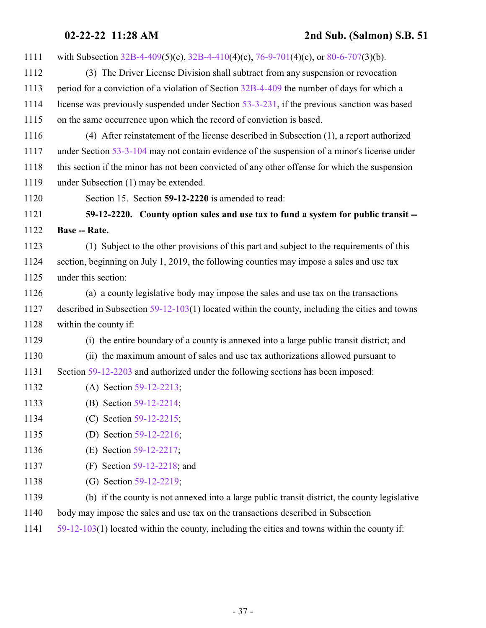<span id="page-36-0"></span>

| 1111 | with Subsection 32B-4-409(5)(c), 32B-4-410(4)(c), 76-9-701(4)(c), or 80-6-707(3)(b).             |
|------|--------------------------------------------------------------------------------------------------|
| 1112 | (3) The Driver License Division shall subtract from any suspension or revocation                 |
| 1113 | period for a conviction of a violation of Section 32B-4-409 the number of days for which a       |
| 1114 | license was previously suspended under Section 53-3-231, if the previous sanction was based      |
| 1115 | on the same occurrence upon which the record of conviction is based.                             |
| 1116 | (4) After reinstatement of the license described in Subsection (1), a report authorized          |
| 1117 | under Section 53-3-104 may not contain evidence of the suspension of a minor's license under     |
| 1118 | this section if the minor has not been convicted of any other offense for which the suspension   |
| 1119 | under Subsection (1) may be extended.                                                            |
| 1120 | Section 15. Section 59-12-2220 is amended to read:                                               |
| 1121 | 59-12-2220. County option sales and use tax to fund a system for public transit --               |
| 1122 | <b>Base -- Rate.</b>                                                                             |
| 1123 | (1) Subject to the other provisions of this part and subject to the requirements of this         |
| 1124 | section, beginning on July 1, 2019, the following counties may impose a sales and use tax        |
| 1125 | under this section:                                                                              |
| 1126 | (a) a county legislative body may impose the sales and use tax on the transactions               |
| 1127 | described in Subsection $59-12-103(1)$ located within the county, including the cities and towns |
| 1128 | within the county if:                                                                            |
| 1129 | (i) the entire boundary of a county is annexed into a large public transit district; and         |
| 1130 | (ii) the maximum amount of sales and use tax authorizations allowed pursuant to                  |
| 1131 | Section 59-12-2203 and authorized under the following sections has been imposed:                 |
| 1132 | (A) Section 59-12-2213;                                                                          |
| 1133 | (B) Section 59-12-2214;                                                                          |
| 1134 | (C) Section $59-12-2215$ ;                                                                       |
| 1135 | Section 59-12-2216;<br>(D)                                                                       |
| 1136 | Section 59-12-2217;<br>(E)                                                                       |
| 1137 | Section 59-12-2218; and<br>(F)                                                                   |
| 1138 | (G) Section 59-12-2219;                                                                          |
| 1139 | (b) if the county is not annexed into a large public transit district, the county legislative    |
| 1140 | body may impose the sales and use tax on the transactions described in Subsection                |

[59-12-103](http://le.utah.gov/UtahCode/SectionLookup.jsp?section=59-12-103&session=2022GS)(1) located within the county, including the cities and towns within the county if: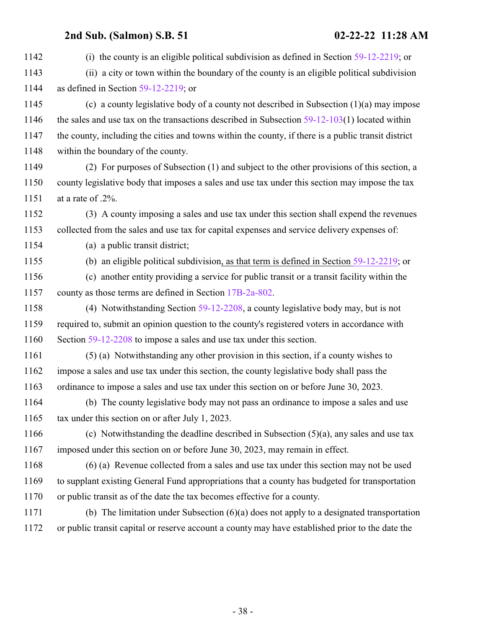| 1142 | (i) the county is an eligible political subdivision as defined in Section $59-12-2219$ ; or         |
|------|-----------------------------------------------------------------------------------------------------|
| 1143 | (ii) a city or town within the boundary of the county is an eligible political subdivision          |
| 1144 | as defined in Section $59-12-2219$ ; or                                                             |
| 1145 | (c) a county legislative body of a county not described in Subsection $(1)(a)$ may impose           |
| 1146 | the sales and use tax on the transactions described in Subsection $59-12-103(1)$ located within     |
| 1147 | the county, including the cities and towns within the county, if there is a public transit district |
| 1148 | within the boundary of the county.                                                                  |
| 1149 | (2) For purposes of Subsection (1) and subject to the other provisions of this section, a           |
| 1150 | county legislative body that imposes a sales and use tax under this section may impose the tax      |
| 1151 | at a rate of .2%.                                                                                   |
| 1152 | (3) A county imposing a sales and use tax under this section shall expend the revenues              |
| 1153 | collected from the sales and use tax for capital expenses and service delivery expenses of:         |
| 1154 | (a) a public transit district;                                                                      |
| 1155 | (b) an eligible political subdivision, as that term is defined in Section $59-12-2219$ ; or         |
| 1156 | (c) another entity providing a service for public transit or a transit facility within the          |
| 1157 | county as those terms are defined in Section 17B-2a-802.                                            |
| 1158 | (4) Notwithstanding Section $59-12-2208$ , a county legislative body may, but is not                |
| 1159 | required to, submit an opinion question to the county's registered voters in accordance with        |
| 1160 | Section 59-12-2208 to impose a sales and use tax under this section.                                |
| 1161 | (5) (a) Notwithstanding any other provision in this section, if a county wishes to                  |
| 1162 | impose a sales and use tax under this section, the county legislative body shall pass the           |
| 1163 | ordinance to impose a sales and use tax under this section on or before June 30, 2023.              |
| 1164 | (b) The county legislative body may not pass an ordinance to impose a sales and use                 |
| 1165 | tax under this section on or after July 1, 2023.                                                    |
| 1166 | (c) Notwithstanding the deadline described in Subsection $(5)(a)$ , any sales and use tax           |
| 1167 | imposed under this section on or before June 30, 2023, may remain in effect.                        |
| 1168 | (6) (a) Revenue collected from a sales and use tax under this section may not be used               |
| 1169 | to supplant existing General Fund appropriations that a county has budgeted for transportation      |
| 1170 | or public transit as of the date the tax becomes effective for a county.                            |
| 1171 | (b) The limitation under Subsection $(6)(a)$ does not apply to a designated transportation          |
| 1172 | or public transit capital or reserve account a county may have established prior to the date the    |
|      |                                                                                                     |
|      |                                                                                                     |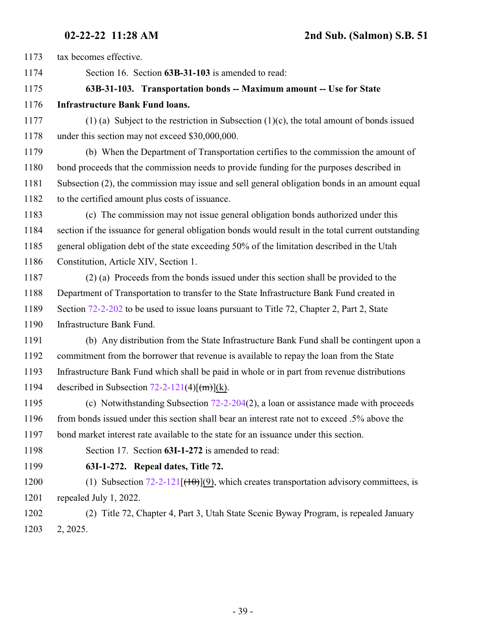tax becomes effective.

<span id="page-38-0"></span>Section 16. Section **63B-31-103** is amended to read:

### **63B-31-103. Transportation bonds -- Maximum amount -- Use for State**

- **Infrastructure Bank Fund loans.**
- (1) (a) Subject to the restriction in Subsection (1)(c), the total amount of bonds issued under this section may not exceed \$30,000,000.

 (b) When the Department of Transportation certifies to the commission the amount of bond proceeds that the commission needs to provide funding for the purposes described in Subsection (2), the commission may issue and sell general obligation bonds in an amount equal to the certified amount plus costs of issuance.

 (c) The commission may not issue general obligation bonds authorized under this section if the issuance for general obligation bonds would result in the total current outstanding general obligation debt of the state exceeding 50% of the limitation described in the Utah Constitution, Article XIV, Section 1.

 (2) (a) Proceeds from the bonds issued under this section shall be provided to the Department of Transportation to transfer to the State Infrastructure Bank Fund created in Section [72-2-202](http://le.utah.gov/UtahCode/SectionLookup.jsp?section=72-2-202&session=2022GS) to be used to issue loans pursuant to Title 72, Chapter 2, Part 2, State Infrastructure Bank Fund.

 (b) Any distribution from the State Infrastructure Bank Fund shall be contingent upon a commitment from the borrower that revenue is available to repay the loan from the State Infrastructure Bank Fund which shall be paid in whole or in part from revenue distributions 1194 described in Subsection  $72-2-121(4)$ [ $\text{(m)}$ ](k).

 (c) Notwithstanding Subsection [72-2-204](http://le.utah.gov/UtahCode/SectionLookup.jsp?section=72-2-204&session=2022GS)(2), a loan or assistance made with proceeds 1196 from bonds issued under this section shall bear an interest rate not to exceed .5% above the bond market interest rate available to the state for an issuance under this section.

<span id="page-38-1"></span>Section 17. Section **63I-1-272** is amended to read:

### **63I-1-272. Repeal dates, Title 72.**

1200 (1) Subsection  $72-2-121$   $[(10)(9)$ , which creates transportation advisory committees, is repealed July 1, 2022.

 (2) Title 72, Chapter 4, Part 3, Utah State Scenic Byway Program, is repealed January 2, 2025.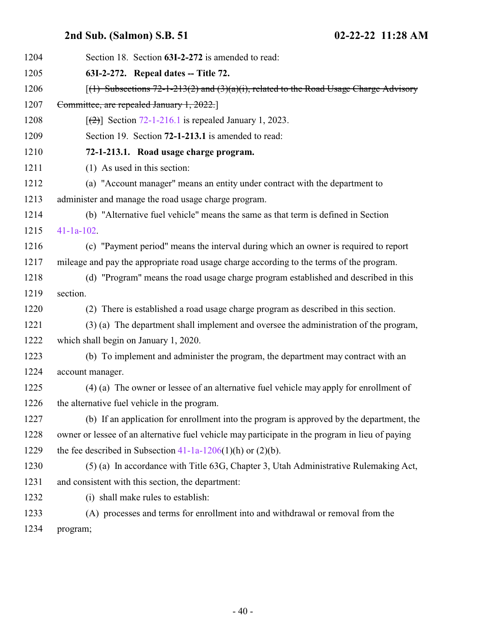<span id="page-39-1"></span><span id="page-39-0"></span>

| 1204 | Section 18. Section 63I-2-272 is amended to read:                                               |
|------|-------------------------------------------------------------------------------------------------|
| 1205 | 63I-2-272. Repeal dates -- Title 72.                                                            |
| 1206 | $(1)$ Subsections 72-1-213(2) and (3)(a)(i), related to the Road Usage Charge Advisory          |
| 1207 | Committee, are repealed January 1, 2022.                                                        |
| 1208 | $\lceil$ (2) Section 72-1-216.1 is repealed January 1, 2023.                                    |
| 1209 | Section 19. Section 72-1-213.1 is amended to read:                                              |
| 1210 | 72-1-213.1. Road usage charge program.                                                          |
| 1211 | (1) As used in this section:                                                                    |
| 1212 | (a) "Account manager" means an entity under contract with the department to                     |
| 1213 | administer and manage the road usage charge program.                                            |
| 1214 | (b) "Alternative fuel vehicle" means the same as that term is defined in Section                |
| 1215 | $41-1a-102$ .                                                                                   |
| 1216 | (c) "Payment period" means the interval during which an owner is required to report             |
| 1217 | mileage and pay the appropriate road usage charge according to the terms of the program.        |
| 1218 | (d) "Program" means the road usage charge program established and described in this             |
| 1219 | section.                                                                                        |
| 1220 | (2) There is established a road usage charge program as described in this section.              |
| 1221 | (3) (a) The department shall implement and oversee the administration of the program,           |
| 1222 | which shall begin on January 1, 2020.                                                           |
| 1223 | (b) To implement and administer the program, the department may contract with an                |
| 1224 | account manager.                                                                                |
| 1225 | (4) (a) The owner or lessee of an alternative fuel vehicle may apply for enrollment of          |
| 1226 | the alternative fuel vehicle in the program.                                                    |
| 1227 | (b) If an application for enrollment into the program is approved by the department, the        |
| 1228 | owner or lessee of an alternative fuel vehicle may participate in the program in lieu of paying |
| 1229 | the fee described in Subsection $41-1a-1206(1)(h)$ or $(2)(b)$ .                                |
| 1230 | (5) (a) In accordance with Title 63G, Chapter 3, Utah Administrative Rulemaking Act,            |
| 1231 | and consistent with this section, the department:                                               |
| 1232 | (i) shall make rules to establish:                                                              |
| 1233 | (A) processes and terms for enrollment into and withdrawal or removal from the                  |
| 1234 | program;                                                                                        |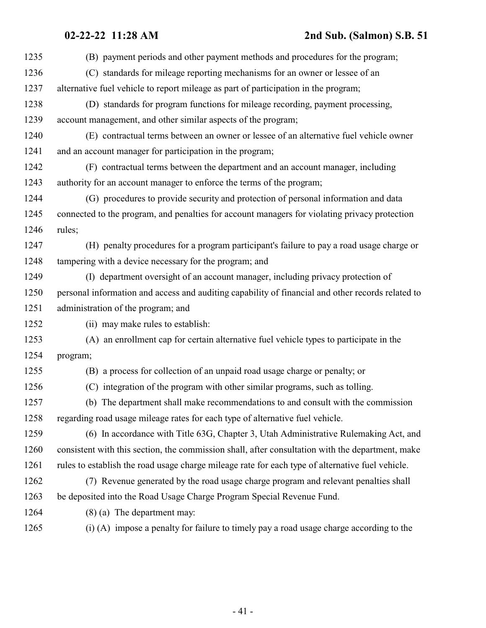### **02-22-22 11:28 AM 2nd Sub. (Salmon) S.B. 51**

| 1235 | (B) payment periods and other payment methods and procedures for the program;                     |
|------|---------------------------------------------------------------------------------------------------|
| 1236 | (C) standards for mileage reporting mechanisms for an owner or lessee of an                       |
| 1237 | alternative fuel vehicle to report mileage as part of participation in the program;               |
| 1238 | (D) standards for program functions for mileage recording, payment processing,                    |
| 1239 | account management, and other similar aspects of the program;                                     |
| 1240 | (E) contractual terms between an owner or lessee of an alternative fuel vehicle owner             |
| 1241 | and an account manager for participation in the program;                                          |
| 1242 | (F) contractual terms between the department and an account manager, including                    |
| 1243 | authority for an account manager to enforce the terms of the program;                             |
| 1244 | (G) procedures to provide security and protection of personal information and data                |
| 1245 | connected to the program, and penalties for account managers for violating privacy protection     |
| 1246 | rules;                                                                                            |
| 1247 | (H) penalty procedures for a program participant's failure to pay a road usage charge or          |
| 1248 | tampering with a device necessary for the program; and                                            |
| 1249 | (I) department oversight of an account manager, including privacy protection of                   |
| 1250 | personal information and access and auditing capability of financial and other records related to |
| 1251 | administration of the program; and                                                                |
| 1252 | (ii) may make rules to establish:                                                                 |
| 1253 | (A) an enrollment cap for certain alternative fuel vehicle types to participate in the            |
| 1254 | program;                                                                                          |
| 1255 | (B) a process for collection of an unpaid road usage charge or penalty; or                        |
| 1256 | (C) integration of the program with other similar programs, such as tolling.                      |
| 1257 | (b) The department shall make recommendations to and consult with the commission                  |
| 1258 | regarding road usage mileage rates for each type of alternative fuel vehicle.                     |
| 1259 | (6) In accordance with Title 63G, Chapter 3, Utah Administrative Rulemaking Act, and              |
| 1260 | consistent with this section, the commission shall, after consultation with the department, make  |
| 1261 | rules to establish the road usage charge mileage rate for each type of alternative fuel vehicle.  |
| 1262 | (7) Revenue generated by the road usage charge program and relevant penalties shall               |
| 1263 | be deposited into the Road Usage Charge Program Special Revenue Fund.                             |
| 1264 | $(8)$ (a) The department may:                                                                     |
| 1265 | (i) (A) impose a penalty for failure to timely pay a road usage charge according to the           |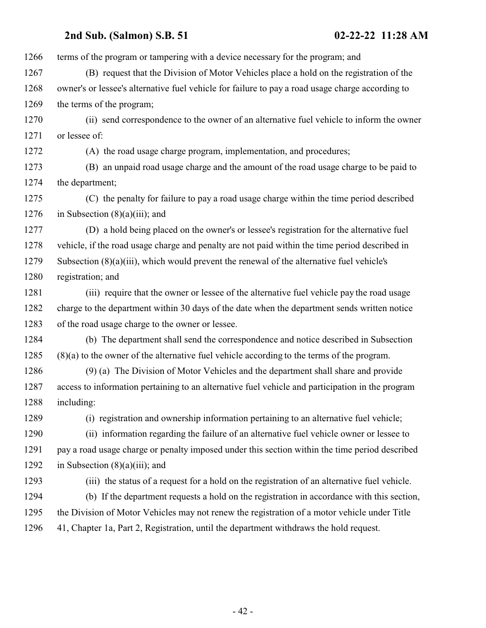terms of the program or tampering with a device necessary for the program; and (B) request that the Division of Motor Vehicles place a hold on the registration of the owner's or lessee's alternative fuel vehicle for failure to pay a road usage charge according to 1269 the terms of the program; (ii) send correspondence to the owner of an alternative fuel vehicle to inform the owner or lessee of: (A) the road usage charge program, implementation, and procedures; (B) an unpaid road usage charge and the amount of the road usage charge to be paid to the department; (C) the penalty for failure to pay a road usage charge within the time period described 1276 in Subsection  $(8)(a)(iii)$ ; and (D) a hold being placed on the owner's or lessee's registration for the alternative fuel vehicle, if the road usage charge and penalty are not paid within the time period described in Subsection (8)(a)(iii), which would prevent the renewal of the alternative fuel vehicle's registration; and (iii) require that the owner or lessee of the alternative fuel vehicle pay the road usage charge to the department within 30 days of the date when the department sends written notice of the road usage charge to the owner or lessee. (b) The department shall send the correspondence and notice described in Subsection (8)(a) to the owner of the alternative fuel vehicle according to the terms of the program. (9) (a) The Division of Motor Vehicles and the department shall share and provide access to information pertaining to an alternative fuel vehicle and participation in the program including: (i) registration and ownership information pertaining to an alternative fuel vehicle; (ii) information regarding the failure of an alternative fuel vehicle owner or lessee to pay a road usage charge or penalty imposed under this section within the time period described 1292 in Subsection  $(8)(a)(iii)$ ; and (iii) the status of a request for a hold on the registration of an alternative fuel vehicle. (b) If the department requests a hold on the registration in accordance with this section, the Division of Motor Vehicles may not renew the registration of a motor vehicle under Title 41, Chapter 1a, Part 2, Registration, until the department withdraws the hold request.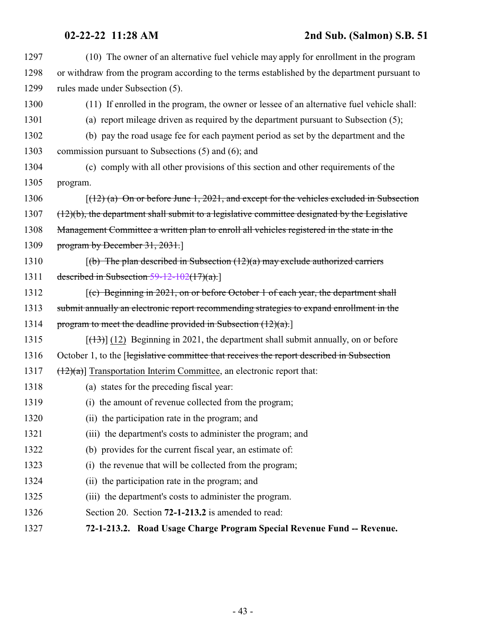<span id="page-42-0"></span>

| 1297 | (10) The owner of an alternative fuel vehicle may apply for enrollment in the program            |
|------|--------------------------------------------------------------------------------------------------|
| 1298 | or withdraw from the program according to the terms established by the department pursuant to    |
| 1299 | rules made under Subsection (5).                                                                 |
| 1300 | (11) If enrolled in the program, the owner or lessee of an alternative fuel vehicle shall:       |
| 1301 | (a) report mileage driven as required by the department pursuant to Subsection (5);              |
| 1302 | (b) pay the road usage fee for each payment period as set by the department and the              |
| 1303 | commission pursuant to Subsections (5) and (6); and                                              |
| 1304 | (c) comply with all other provisions of this section and other requirements of the               |
| 1305 | program.                                                                                         |
| 1306 | $(12)$ (a) On or before June 1, 2021, and except for the vehicles excluded in Subsection         |
| 1307 | $(12)(b)$ , the department shall submit to a legislative committee designated by the Legislative |
| 1308 | Management Committee a written plan to enroll all vehicles registered in the state in the        |
| 1309 | program by December $31, 2031$ .                                                                 |
| 1310 | $(6)$ The plan described in Subsection $(12)(a)$ may exclude authorized carriers                 |
| 1311 | described in Subsection $59-12-102(17)(a)$ .                                                     |
| 1312 | $(c)$ Beginning in 2021, on or before October 1 of each year, the department shall               |
| 1313 | submit annually an electronic report recommending strategies to expand enrollment in the         |
| 1314 | program to meet the deadline provided in Subsection $(12)(a)$ .                                  |
| 1315 | $[(13)]$ (12) Beginning in 2021, the department shall submit annually, on or before              |
| 1316 | October 1, to the Hegislative committee that receives the report described in Subsection         |
| 1317 | $\left(\frac{12}{a}\right)$ Transportation Interim Committee, an electronic report that:         |
| 1318 | (a) states for the preceding fiscal year:                                                        |
| 1319 | (i) the amount of revenue collected from the program;                                            |
| 1320 | (ii) the participation rate in the program; and                                                  |
| 1321 | (iii) the department's costs to administer the program; and                                      |
| 1322 | (b) provides for the current fiscal year, an estimate of:                                        |
| 1323 | (i) the revenue that will be collected from the program;                                         |
| 1324 | (ii) the participation rate in the program; and                                                  |
| 1325 | (iii) the department's costs to administer the program.                                          |
| 1326 | Section 20. Section 72-1-213.2 is amended to read:                                               |
| 1327 | 72-1-213.2. Road Usage Charge Program Special Revenue Fund -- Revenue.                           |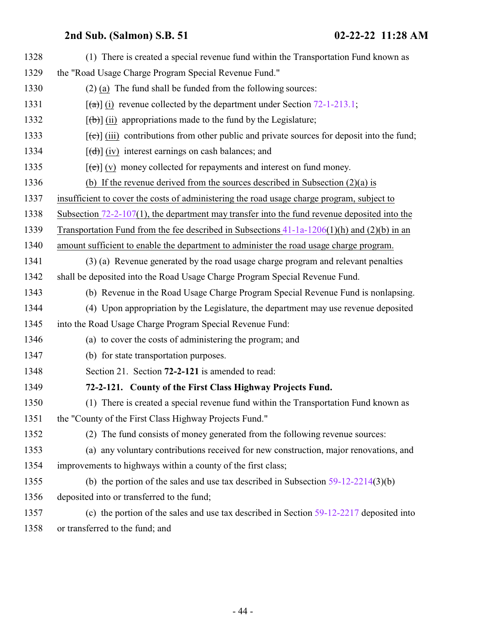<span id="page-43-0"></span>

| 1328 | (1) There is created a special revenue fund within the Transportation Fund known as                                                                                                                                                                                                                                                                                                                                                                                                        |
|------|--------------------------------------------------------------------------------------------------------------------------------------------------------------------------------------------------------------------------------------------------------------------------------------------------------------------------------------------------------------------------------------------------------------------------------------------------------------------------------------------|
| 1329 | the "Road Usage Charge Program Special Revenue Fund."                                                                                                                                                                                                                                                                                                                                                                                                                                      |
| 1330 | $(2)$ (a) The fund shall be funded from the following sources:                                                                                                                                                                                                                                                                                                                                                                                                                             |
| 1331 | $\lceil$ (a) (i) revenue collected by the department under Section 72-1-213.1;                                                                                                                                                                                                                                                                                                                                                                                                             |
| 1332 | $[\phi]$ (ii) appropriations made to the fund by the Legislature;                                                                                                                                                                                                                                                                                                                                                                                                                          |
| 1333 | $[\text{e}(\text{e})]$ (iii) contributions from other public and private sources for deposit into the fund;                                                                                                                                                                                                                                                                                                                                                                                |
| 1334 | $[\text{d} \cdot \text{d} \cdot \text{d} \cdot \text{d} \cdot \text{d} \cdot \text{d} \cdot \text{d} \cdot \text{d} \cdot \text{d} \cdot \text{d} \cdot \text{d} \cdot \text{d} \cdot \text{d} \cdot \text{d} \cdot \text{d} \cdot \text{d} \cdot \text{d} \cdot \text{d} \cdot \text{d} \cdot \text{d} \cdot \text{d} \cdot \text{d} \cdot \text{d} \cdot \text{d} \cdot \text{d} \cdot \text{d} \cdot \text{d} \cdot \text{d} \cdot \text{d} \cdot \text{d} \cdot \text{d} \cdot \text{$ |
| 1335 | $[\text{e}(\text{e})]$ (v) money collected for repayments and interest on fund money.                                                                                                                                                                                                                                                                                                                                                                                                      |
| 1336 | (b) If the revenue derived from the sources described in Subsection $(2)(a)$ is                                                                                                                                                                                                                                                                                                                                                                                                            |
| 1337 | insufficient to cover the costs of administering the road usage charge program, subject to                                                                                                                                                                                                                                                                                                                                                                                                 |
| 1338 | Subsection $72-2-107(1)$ , the department may transfer into the fund revenue deposited into the                                                                                                                                                                                                                                                                                                                                                                                            |
| 1339 | Transportation Fund from the fee described in Subsections $41-1a-1206(1)(h)$ and $(2)(b)$ in an                                                                                                                                                                                                                                                                                                                                                                                            |
| 1340 | amount sufficient to enable the department to administer the road usage charge program.                                                                                                                                                                                                                                                                                                                                                                                                    |
| 1341 | (3) (a) Revenue generated by the road usage charge program and relevant penalties                                                                                                                                                                                                                                                                                                                                                                                                          |
| 1342 | shall be deposited into the Road Usage Charge Program Special Revenue Fund.                                                                                                                                                                                                                                                                                                                                                                                                                |
| 1343 | (b) Revenue in the Road Usage Charge Program Special Revenue Fund is nonlapsing.                                                                                                                                                                                                                                                                                                                                                                                                           |
| 1344 | (4) Upon appropriation by the Legislature, the department may use revenue deposited                                                                                                                                                                                                                                                                                                                                                                                                        |
| 1345 | into the Road Usage Charge Program Special Revenue Fund:                                                                                                                                                                                                                                                                                                                                                                                                                                   |
| 1346 | (a) to cover the costs of administering the program; and                                                                                                                                                                                                                                                                                                                                                                                                                                   |
| 1347 | (b) for state transportation purposes.                                                                                                                                                                                                                                                                                                                                                                                                                                                     |
| 1348 | Section 21. Section 72-2-121 is amended to read:                                                                                                                                                                                                                                                                                                                                                                                                                                           |
| 1349 | 72-2-121. County of the First Class Highway Projects Fund.                                                                                                                                                                                                                                                                                                                                                                                                                                 |
| 1350 | (1) There is created a special revenue fund within the Transportation Fund known as                                                                                                                                                                                                                                                                                                                                                                                                        |
| 1351 | the "County of the First Class Highway Projects Fund."                                                                                                                                                                                                                                                                                                                                                                                                                                     |
| 1352 | (2) The fund consists of money generated from the following revenue sources:                                                                                                                                                                                                                                                                                                                                                                                                               |
| 1353 | (a) any voluntary contributions received for new construction, major renovations, and                                                                                                                                                                                                                                                                                                                                                                                                      |
| 1354 | improvements to highways within a county of the first class;                                                                                                                                                                                                                                                                                                                                                                                                                               |
| 1355 | (b) the portion of the sales and use tax described in Subsection $59-12-2214(3)(b)$                                                                                                                                                                                                                                                                                                                                                                                                        |
| 1356 | deposited into or transferred to the fund;                                                                                                                                                                                                                                                                                                                                                                                                                                                 |
| 1357 | (c) the portion of the sales and use tax described in Section $59-12-2217$ deposited into                                                                                                                                                                                                                                                                                                                                                                                                  |
| 1358 | or transferred to the fund; and                                                                                                                                                                                                                                                                                                                                                                                                                                                            |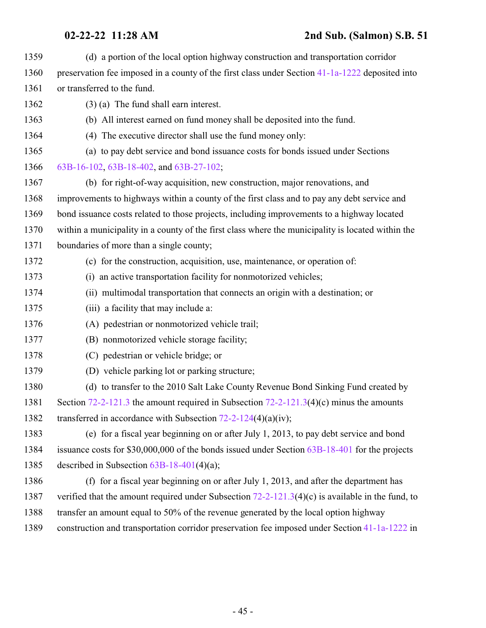| 1359 | (d) a portion of the local option highway construction and transportation corridor                 |
|------|----------------------------------------------------------------------------------------------------|
| 1360 | preservation fee imposed in a county of the first class under Section 41-1a-1222 deposited into    |
| 1361 | or transferred to the fund.                                                                        |
| 1362 | $(3)$ (a) The fund shall earn interest.                                                            |
| 1363 | (b) All interest earned on fund money shall be deposited into the fund.                            |
| 1364 | (4) The executive director shall use the fund money only:                                          |
| 1365 | (a) to pay debt service and bond issuance costs for bonds issued under Sections                    |
| 1366 | 63B-16-102, 63B-18-402, and 63B-27-102;                                                            |
| 1367 | (b) for right-of-way acquisition, new construction, major renovations, and                         |
| 1368 | improvements to highways within a county of the first class and to pay any debt service and        |
| 1369 | bond issuance costs related to those projects, including improvements to a highway located         |
| 1370 | within a municipality in a county of the first class where the municipality is located within the  |
| 1371 | boundaries of more than a single county;                                                           |
| 1372 | (c) for the construction, acquisition, use, maintenance, or operation of:                          |
| 1373 | (i) an active transportation facility for nonmotorized vehicles;                                   |
| 1374 | (ii) multimodal transportation that connects an origin with a destination; or                      |
| 1375 | (iii) a facility that may include a:                                                               |
| 1376 | (A) pedestrian or nonmotorized vehicle trail;                                                      |
| 1377 | (B) nonmotorized vehicle storage facility;                                                         |
| 1378 | (C) pedestrian or vehicle bridge; or                                                               |
| 1379 | (D) vehicle parking lot or parking structure;                                                      |
| 1380 | (d) to transfer to the 2010 Salt Lake County Revenue Bond Sinking Fund created by                  |
| 1381 | Section $72-2-121.3$ the amount required in Subsection $72-2-121.3(4)(c)$ minus the amounts        |
| 1382 | transferred in accordance with Subsection $72-2-124(4)(a)(iv)$ ;                                   |
| 1383 | (e) for a fiscal year beginning on or after July 1, 2013, to pay debt service and bond             |
| 1384 | issuance costs for $$30,000,000$ of the bonds issued under Section $63B-18-401$ for the projects   |
| 1385 | described in Subsection $63B-18-401(4)(a)$ ;                                                       |
| 1386 | (f) for a fiscal year beginning on or after July 1, 2013, and after the department has             |
| 1387 | verified that the amount required under Subsection $72-2-121.3(4)(c)$ is available in the fund, to |
| 1388 | transfer an amount equal to 50% of the revenue generated by the local option highway               |
| 1389 | construction and transportation corridor preservation fee imposed under Section 41-1a-1222 in      |
|      |                                                                                                    |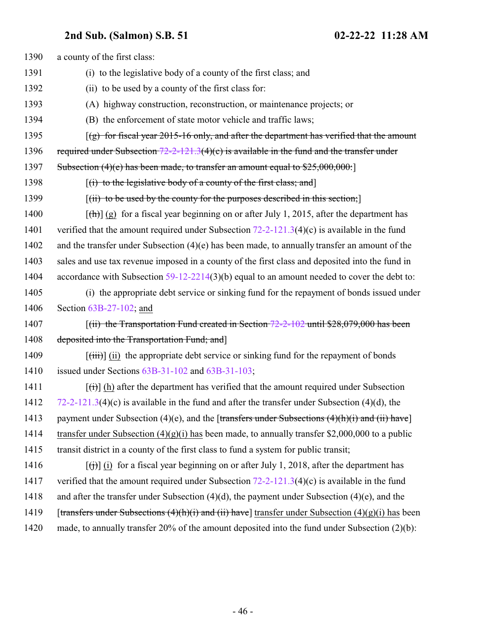| 1390 | a county of the first class:                                                                                               |
|------|----------------------------------------------------------------------------------------------------------------------------|
| 1391 | (i) to the legislative body of a county of the first class; and                                                            |
| 1392 | (ii) to be used by a county of the first class for:                                                                        |
| 1393 | (A) highway construction, reconstruction, or maintenance projects; or                                                      |
| 1394 | (B) the enforcement of state motor vehicle and traffic laws;                                                               |
| 1395 | $(g)$ for fiscal year 2015-16 only, and after the department has verified that the amount                                  |
| 1396 | required under Subsection $72-2-121.3(4)(c)$ is available in the fund and the transfer under                               |
| 1397 | Subsection $(4)(e)$ has been made, to transfer an amount equal to $$25,000,000$ .                                          |
| 1398 | $[(i)$ to the legislative body of a county of the first class; and                                                         |
| 1399 | $[(ii)$ to be used by the county for the purposes described in this section;                                               |
| 1400 | $[\frac{h}{\ln}]$ (g) for a fiscal year beginning on or after July 1, 2015, after the department has                       |
| 1401 | verified that the amount required under Subsection $72-2-121.3(4)(c)$ is available in the fund                             |
| 1402 | and the transfer under Subsection $(4)(e)$ has been made, to annually transfer an amount of the                            |
| 1403 | sales and use tax revenue imposed in a county of the first class and deposited into the fund in                            |
| 1404 | accordance with Subsection $59-12-2214(3)(b)$ equal to an amount needed to cover the debt to:                              |
| 1405 | (i) the appropriate debt service or sinking fund for the repayment of bonds issued under                                   |
| 1406 | Section $63B-27-102$ ; and                                                                                                 |
| 1407 | $[(ii)$ the Transportation Fund created in Section 72-2-102 until \$28,079,000 has been                                    |
| 1408 | deposited into the Transportation Fund; and                                                                                |
| 1409 | $[\overrightarrow{(\text{iii})}]$ (ii) the appropriate debt service or sinking fund for the repayment of bonds             |
| 1410 | issued under Sections $63B-31-102$ and $63B-31-103$ ;                                                                      |
| 1411 | $\left[\left(\frac{1}{1}\right)\right]$ (h) after the department has verified that the amount required under Subsection    |
| 1412 | $72-2-121.3(4)(c)$ is available in the fund and after the transfer under Subsection (4)(d), the                            |
| 1413 | payment under Subsection (4)(e), and the [transfers under Subsections $(4)(h)(i)$ and (ii) have]                           |
| 1414 | transfer under Subsection $(4)(g)(i)$ has been made, to annually transfer \$2,000,000 to a public                          |
| 1415 | transit district in a county of the first class to fund a system for public transit;                                       |
| 1416 | $\left[\left(\frac{1}{1}\right)\right]$ (i) for a fiscal year beginning on or after July 1, 2018, after the department has |
| 1417 | verified that the amount required under Subsection $72-2-121.3(4)(c)$ is available in the fund                             |
| 1418 | and after the transfer under Subsection $(4)(d)$ , the payment under Subsection $(4)(e)$ , and the                         |
| 1419 | [transfers under Subsections $(4)(h)(i)$ and $(ii)$ have] transfer under Subsection $(4)(g)(i)$ has been                   |
| 1420 | made, to annually transfer 20% of the amount deposited into the fund under Subsection $(2)(b)$ :                           |
|      |                                                                                                                            |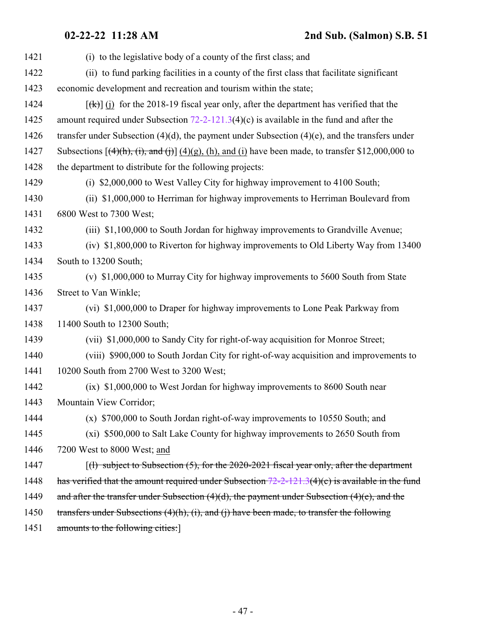| 1421 | (i) to the legislative body of a county of the first class; and                                            |
|------|------------------------------------------------------------------------------------------------------------|
| 1422 | (ii) to fund parking facilities in a county of the first class that facilitate significant                 |
| 1423 | economic development and recreation and tourism within the state;                                          |
| 1424 | $[\frac{f(k)}{k}]$ (i) for the 2018-19 fiscal year only, after the department has verified that the        |
| 1425 | amount required under Subsection $72-2-121.3(4)(c)$ is available in the fund and after the                 |
| 1426 | transfer under Subsection $(4)(d)$ , the payment under Subsection $(4)(e)$ , and the transfers under       |
| 1427 | Subsections $[(4)(h), (i),$ and $(i)]$ $(4)(g)$ , (h), and (i) have been made, to transfer \$12,000,000 to |
| 1428 | the department to distribute for the following projects:                                                   |
| 1429 | (i) \$2,000,000 to West Valley City for highway improvement to 4100 South;                                 |
| 1430 | (ii) \$1,000,000 to Herriman for highway improvements to Herriman Boulevard from                           |
| 1431 | 6800 West to 7300 West;                                                                                    |
| 1432 | (iii) \$1,100,000 to South Jordan for highway improvements to Grandville Avenue;                           |
| 1433 | (iv) \$1,800,000 to Riverton for highway improvements to Old Liberty Way from 13400                        |
| 1434 | South to 13200 South;                                                                                      |
| 1435 | (v) \$1,000,000 to Murray City for highway improvements to 5600 South from State                           |
| 1436 | Street to Van Winkle;                                                                                      |
| 1437 | (vi) \$1,000,000 to Draper for highway improvements to Lone Peak Parkway from                              |
| 1438 | 11400 South to 12300 South;                                                                                |
| 1439 | (vii) \$1,000,000 to Sandy City for right-of-way acquisition for Monroe Street;                            |
| 1440 | (viii) \$900,000 to South Jordan City for right-of-way acquisition and improvements to                     |
| 1441 | 10200 South from 2700 West to 3200 West;                                                                   |
| 1442 | (ix) \$1,000,000 to West Jordan for highway improvements to 8600 South near                                |
| 1443 | Mountain View Corridor;                                                                                    |
| 1444 | (x) \$700,000 to South Jordan right-of-way improvements to 10550 South; and                                |
| 1445 | (xi) \$500,000 to Salt Lake County for highway improvements to 2650 South from                             |
| 1446 | 7200 West to 8000 West; and                                                                                |
| 1447 | $\lceil$ (1) subject to Subsection (5), for the 2020-2021 fiscal year only, after the department           |
| 1448 | has verified that the amount required under Subsection $72-2-121.3(4)(c)$ is available in the fund         |
| 1449 | and after the transfer under Subsection $(4)(d)$ , the payment under Subsection $(4)(e)$ , and the         |
| 1450 | transfers under Subsections $(4)(h)$ , $(i)$ , and $(i)$ have been made, to transfer the following         |
| 1451 | amounts to the following cities:                                                                           |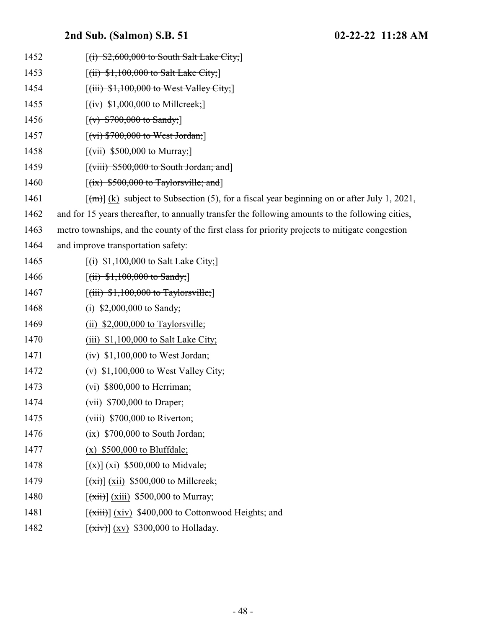1452 [(i) \$2,600,000 to South Salt Lake City;] 1453 [(ii) \$1,100,000 to Salt Lake City; **[(iii) \$1,100,000 to West Valley City;**]  $[(iv) $1,000,000$  to Millcreek;  $[(v)$  \$700,000 to Sandy; 1457 [(vi) \$700,000 to West Jordan;]  $[ (vii) $500,000$  to Murray; **[(viii) \$500,000 to South Jordan; and**]  $[(ix)$  \$500,000 to Taylorsville; and  $[\text{(m)}]$  (k) subject to Subsection (5), for a fiscal year beginning on or after July 1, 2021, and for 15 years thereafter, to annually transfer the following amounts to the following cities, metro townships, and the county of the first class for priority projects to mitigate congestion and improve transportation safety: 1465 [(i) \$1,100,000 to Salt Lake City; 1466 [(ii) \$1,100,000 to Sandy;  $[(iii)$   $$1,100,000$  to Taylorsville; 1468 (i) \$2,000,000 to Sandy; (ii) \$2,000,000 to Taylorsville; 1470 (iii) \$1,100,000 to Salt Lake City; 1471 (iv) \$1,100,000 to West Jordan; (v) \$1,100,000 to West Valley City; (vi) \$800,000 to Herriman; (vii) \$700,000 to Draper; (viii) \$700,000 to Riverton; (ix) \$700,000 to South Jordan; (x) \$500,000 to Bluffdale;  $[(\overline{x})](\overline{x})$  \$500,000 to Midvale;  $\left[\frac{\overrightarrow{xt}}{\overrightarrow{xx}}\right]$  (xii) \$500,000 to Millcreek;  $[(\overrightarrow{xiii})]$  (xiii) \$500,000 to Murray;  $[(\overrightarrow{xiii})] (xiv)$  \$400,000 to Cottonwood Heights; and  $[(\overrightarrow{xiv})](xy)$  \$300,000 to Holladay.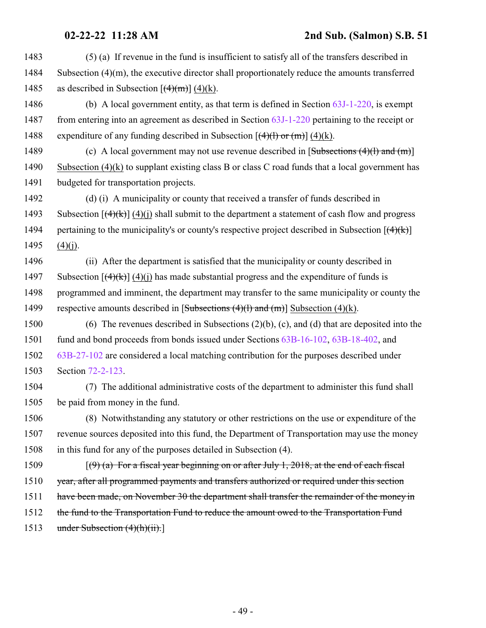1483 (5) (a) If revenue in the fund is insufficient to satisfy all of the transfers described in 1484 Subsection  $(4)(m)$ , the executive director shall proportionately reduce the amounts transferred 1485 as described in Subsection  $[(4)(m)] (4)(k)$ .

1486 (b) A local government entity, as that term is defined in Section [63J-1-220](http://le.utah.gov/UtahCode/SectionLookup.jsp?section=63j-1-220&session=2022GS), is exempt 1487 from entering into an agreement as described in Section [63J-1-220](http://le.utah.gov/UtahCode/SectionLookup.jsp?section=63j-1-220&session=2022GS) pertaining to the receipt or 1488 expenditure of any funding described in Subsection  $[(4)(1)$  or  $(m)] (4)(k)$ .

1489 (c) A local government may not use revenue described in  $[\text{Subsections (4)(l) and (m)}]$ 1490 Subsection (4)(k) to supplant existing class B or class C road funds that a local government has 1491 budgeted for transportation projects.

1492 (d) (i) A municipality or county that received a transfer of funds described in 1493 Subsection  $[(4)(k)]$  (4)(i) shall submit to the department a statement of cash flow and progress 1494 pertaining to the municipality's or county's respective project described in Subsection  $[(4)(k)]$  $1495$  (4)(j).

1496 (ii) After the department is satisfied that the municipality or county described in 1497 Subsection  $[(4)(k)]$  (4)(i) has made substantial progress and the expenditure of funds is 1498 programmed and imminent, the department may transfer to the same municipality or county the 1499 respective amounts described in  $[Subsections (4)(l) and (m)]$  Subsection (4)(k).

 (6) The revenues described in Subsections (2)(b), (c), and (d) that are deposited into the fund and bond proceeds from bonds issued under Sections [63B-16-102](http://le.utah.gov/UtahCode/SectionLookup.jsp?section=63b-16-102&session=2022GS), [63B-18-402](http://le.utah.gov/UtahCode/SectionLookup.jsp?section=63b-18-402&session=2022GS), and [63B-27-102](http://le.utah.gov/UtahCode/SectionLookup.jsp?section=63b-27-102&session=2022GS) are considered a local matching contribution for the purposes described under Section [72-2-123](http://le.utah.gov/UtahCode/SectionLookup.jsp?section=72-2-123&session=2022GS).

1504 (7) The additional administrative costs of the department to administer this fund shall 1505 be paid from money in the fund.

1506 (8) Notwithstanding any statutory or other restrictions on the use or expenditure of the 1507 revenue sources deposited into this fund, the Department of Transportation may use the money 1508 in this fund for any of the purposes detailed in Subsection (4).

1509  $[(9)$  (a) For a fiscal year beginning on or after July 1, 2018, at the end of each fiscal

1510 year, after all programmed payments and transfers authorized or required under this section

1511 have been made, on November 30 the department shall transfer the remainder of the money in

1512 the fund to the Transportation Fund to reduce the amount owed to the Transportation Fund

1513 under Subsection (4)(h)(ii).]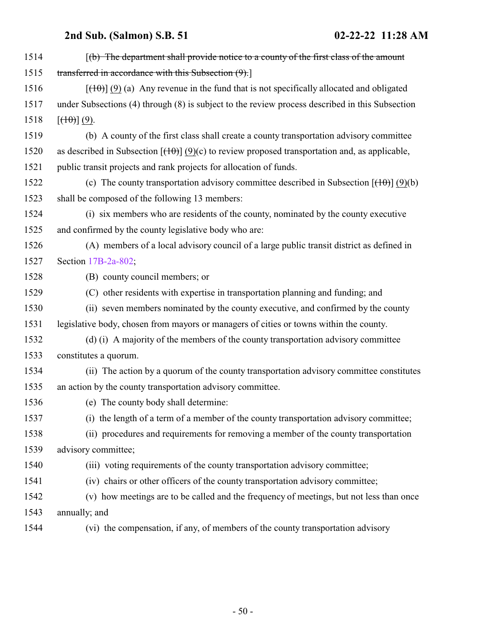| 1514 | $(6)$ The department shall provide notice to a county of the first class of the amount                |
|------|-------------------------------------------------------------------------------------------------------|
| 1515 | transferred in accordance with this Subsection (9).]                                                  |
| 1516 | $[\frac{(10)}{(9)}]$ (9) (a) Any revenue in the fund that is not specifically allocated and obligated |
| 1517 | under Subsections (4) through (8) is subject to the review process described in this Subsection       |
| 1518 | $[\left(\frac{10}{10}\right)(9)$ .                                                                    |
| 1519 | (b) A county of the first class shall create a county transportation advisory committee               |
| 1520 | as described in Subsection $[(10)(9)(c)$ to review proposed transportation and, as applicable,        |
| 1521 | public transit projects and rank projects for allocation of funds.                                    |
| 1522 | (c) The county transportation advisory committee described in Subsection $[(10)(b)]$                  |
| 1523 | shall be composed of the following 13 members:                                                        |
| 1524 | (i) six members who are residents of the county, nominated by the county executive                    |
| 1525 | and confirmed by the county legislative body who are:                                                 |
| 1526 | (A) members of a local advisory council of a large public transit district as defined in              |
| 1527 | Section 17B-2a-802;                                                                                   |
| 1528 | (B) county council members; or                                                                        |
| 1529 | (C) other residents with expertise in transportation planning and funding; and                        |
| 1530 | (ii) seven members nominated by the county executive, and confirmed by the county                     |
| 1531 | legislative body, chosen from mayors or managers of cities or towns within the county.                |
| 1532 | (d) (i) A majority of the members of the county transportation advisory committee                     |
| 1533 | constitutes a quorum.                                                                                 |
| 1534 | (ii) The action by a quorum of the county transportation advisory committee constitutes               |
| 1535 | an action by the county transportation advisory committee.                                            |
| 1536 | (e) The county body shall determine:                                                                  |
| 1537 | (i) the length of a term of a member of the county transportation advisory committee;                 |
| 1538 | (ii) procedures and requirements for removing a member of the county transportation                   |
| 1539 | advisory committee;                                                                                   |
| 1540 | (iii) voting requirements of the county transportation advisory committee;                            |
| 1541 | (iv) chairs or other officers of the county transportation advisory committee;                        |
| 1542 | (v) how meetings are to be called and the frequency of meetings, but not less than once               |
| 1543 | annually; and                                                                                         |
| 1544 | (vi) the compensation, if any, of members of the county transportation advisory                       |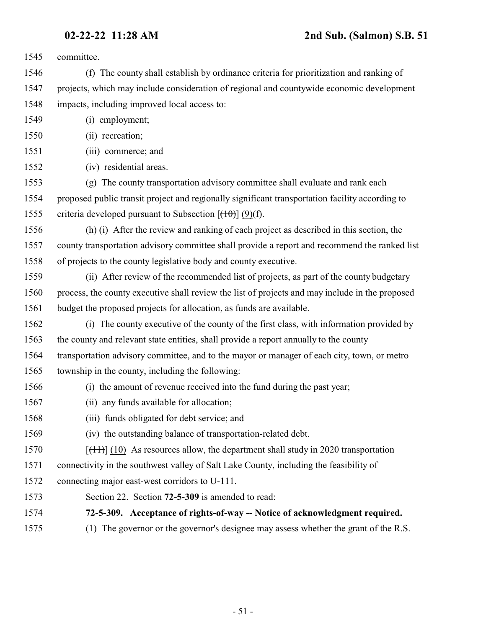committee.

 (f) The county shall establish by ordinance criteria for prioritization and ranking of projects, which may include consideration of regional and countywide economic development impacts, including improved local access to:

- (i) employment;
- (ii) recreation;
- (iii) commerce; and
- (iv) residential areas.

 (g) The county transportation advisory committee shall evaluate and rank each proposed public transit project and regionally significant transportation facility according to 1555 criteria developed pursuant to Subsection  $[(10)(f)]$ .

 (h) (i) After the review and ranking of each project as described in this section, the county transportation advisory committee shall provide a report and recommend the ranked list of projects to the county legislative body and county executive.

 (ii) After review of the recommended list of projects, as part of the county budgetary process, the county executive shall review the list of projects and may include in the proposed budget the proposed projects for allocation, as funds are available.

 (i) The county executive of the county of the first class, with information provided by the county and relevant state entities, shall provide a report annually to the county transportation advisory committee, and to the mayor or manager of each city, town, or metro township in the county, including the following:

- (i) the amount of revenue received into the fund during the past year;
- (ii) any funds available for allocation;
- (iii) funds obligated for debt service; and
- (iv) the outstanding balance of transportation-related debt.

1570  $[(11)(10)$  As resources allow, the department shall study in 2020 transportation

connectivity in the southwest valley of Salt Lake County, including the feasibility of

connecting major east-west corridors to U-111.

<span id="page-50-0"></span>Section 22. Section **72-5-309** is amended to read:

**72-5-309. Acceptance of rights-of-way -- Notice of acknowledgment required.**

(1) The governor or the governor's designee may assess whether the grant of the R.S.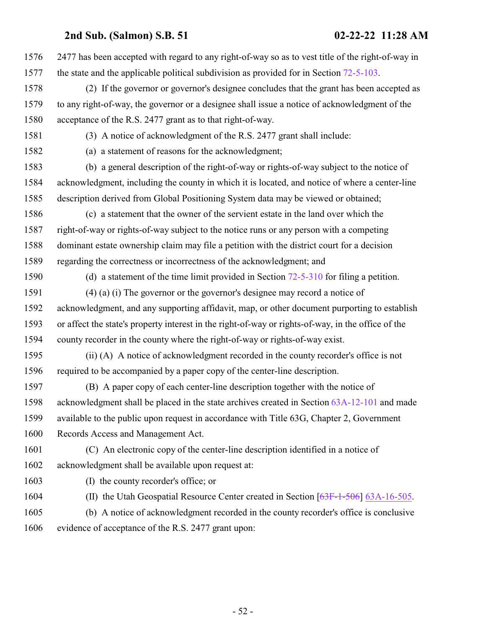2477 has been accepted with regard to any right-of-way so as to vest title of the right-of-way in the state and the applicable political subdivision as provided for in Section [72-5-103](http://le.utah.gov/UtahCode/SectionLookup.jsp?section=72-5-103&session=2022GS). (2) If the governor or governor's designee concludes that the grant has been accepted as to any right-of-way, the governor or a designee shall issue a notice of acknowledgment of the acceptance of the R.S. 2477 grant as to that right-of-way. (3) A notice of acknowledgment of the R.S. 2477 grant shall include: (a) a statement of reasons for the acknowledgment; (b) a general description of the right-of-way or rights-of-way subject to the notice of acknowledgment, including the county in which it is located, and notice of where a center-line description derived from Global Positioning System data may be viewed or obtained; (c) a statement that the owner of the servient estate in the land over which the right-of-way or rights-of-way subject to the notice runs or any person with a competing dominant estate ownership claim may file a petition with the district court for a decision regarding the correctness or incorrectness of the acknowledgment; and (d) a statement of the time limit provided in Section [72-5-310](http://le.utah.gov/UtahCode/SectionLookup.jsp?section=72-5-310&session=2022GS) for filing a petition. (4) (a) (i) The governor or the governor's designee may record a notice of acknowledgment, and any supporting affidavit, map, or other document purporting to establish or affect the state's property interest in the right-of-way or rights-of-way, in the office of the county recorder in the county where the right-of-way or rights-of-way exist. (ii) (A) A notice of acknowledgment recorded in the county recorder's office is not required to be accompanied by a paper copy of the center-line description. (B) A paper copy of each center-line description together with the notice of acknowledgment shall be placed in the state archives created in Section [63A-12-101](http://le.utah.gov/UtahCode/SectionLookup.jsp?section=63a-12-101&session=2022GS) and made available to the public upon request in accordance with Title 63G, Chapter 2, Government Records Access and Management Act. (C) An electronic copy of the center-line description identified in a notice of acknowledgment shall be available upon request at: (I) the county recorder's office; or 1604 (II) the Utah Geospatial Resource Center created in Section [\[63F-1-506](http://le.utah.gov/UtahCode/SectionLookup.jsp?section=63f-1-506&session=2022GS)] [63A-16-505](http://le.utah.gov/UtahCode/SectionLookup.jsp?section=63a-16-505&session=2022GS). (b) A notice of acknowledgment recorded in the county recorder's office is conclusive evidence of acceptance of the R.S. 2477 grant upon: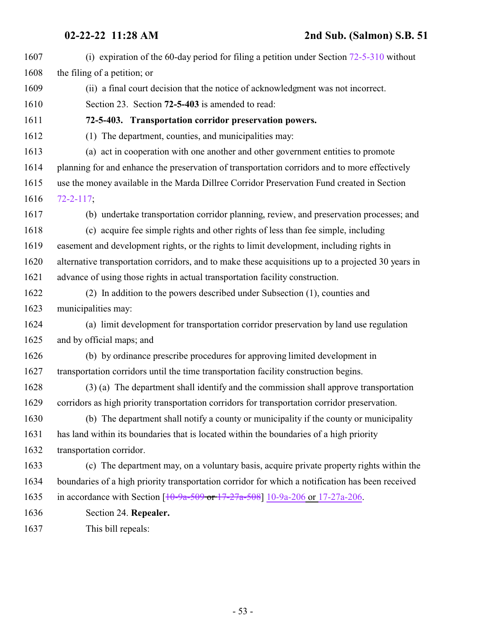<span id="page-52-0"></span>

| 1607 | (i) expiration of the 60-day period for filing a petition under Section $72-5-310$ without         |
|------|----------------------------------------------------------------------------------------------------|
| 1608 | the filing of a petition; or                                                                       |
| 1609 | (ii) a final court decision that the notice of acknowledgment was not incorrect.                   |
| 1610 | Section 23. Section 72-5-403 is amended to read:                                                   |
| 1611 | 72-5-403. Transportation corridor preservation powers.                                             |
| 1612 | (1) The department, counties, and municipalities may:                                              |
| 1613 | (a) act in cooperation with one another and other government entities to promote                   |
| 1614 | planning for and enhance the preservation of transportation corridors and to more effectively      |
| 1615 | use the money available in the Marda Dillree Corridor Preservation Fund created in Section         |
| 1616 | $72 - 2 - 117$ ;                                                                                   |
| 1617 | (b) undertake transportation corridor planning, review, and preservation processes; and            |
| 1618 | (c) acquire fee simple rights and other rights of less than fee simple, including                  |
| 1619 | easement and development rights, or the rights to limit development, including rights in           |
| 1620 | alternative transportation corridors, and to make these acquisitions up to a projected 30 years in |
| 1621 | advance of using those rights in actual transportation facility construction.                      |
| 1622 | (2) In addition to the powers described under Subsection (1), counties and                         |
| 1623 | municipalities may:                                                                                |
| 1624 | (a) limit development for transportation corridor preservation by land use regulation              |
| 1625 | and by official maps; and                                                                          |
| 1626 | (b) by ordinance prescribe procedures for approving limited development in                         |
| 1627 | transportation corridors until the time transportation facility construction begins.               |
| 1628 | (3) (a) The department shall identify and the commission shall approve transportation              |
| 1629 | corridors as high priority transportation corridors for transportation corridor preservation.      |
| 1630 | (b) The department shall notify a county or municipality if the county or municipality             |
| 1631 | has land within its boundaries that is located within the boundaries of a high priority            |
| 1632 | transportation corridor.                                                                           |
| 1633 | (c) The department may, on a voluntary basis, acquire private property rights within the           |
| 1634 | boundaries of a high priority transportation corridor for which a notification has been received   |
| 1635 | in accordance with Section $[10-9a-509$ or $17-27a-508]$ 10-9a-206 or 17-27a-206.                  |
| 1636 | Section 24. Repealer.                                                                              |
| 1637 | This bill repeals:                                                                                 |